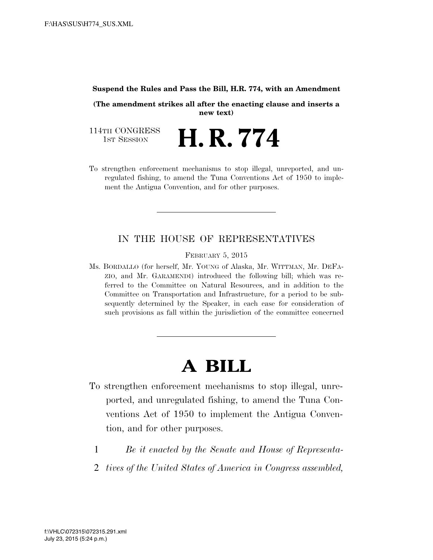#### **Suspend the Rules and Pass the Bill, H.R. 774, with an Amendment**

**(The amendment strikes all after the enacting clause and inserts a new text)** 

114TH CONGRESS<br>1st Session

- **H. R. 774**
- To strengthen enforcement mechanisms to stop illegal, unreported, and unregulated fishing, to amend the Tuna Conventions Act of 1950 to implement the Antigua Convention, and for other purposes.

### IN THE HOUSE OF REPRESENTATIVES

FEBRUARY 5, 2015

Ms. BORDALLO (for herself, Mr. YOUNG of Alaska, Mr. WITTMAN, Mr. DEFA-ZIO, and Mr. GARAMENDI) introduced the following bill; which was referred to the Committee on Natural Resources, and in addition to the Committee on Transportation and Infrastructure, for a period to be subsequently determined by the Speaker, in each case for consideration of such provisions as fall within the jurisdiction of the committee concerned

# **A BILL**

- To strengthen enforcement mechanisms to stop illegal, unreported, and unregulated fishing, to amend the Tuna Conventions Act of 1950 to implement the Antigua Convention, and for other purposes.
	- 1 *Be it enacted by the Senate and House of Representa-*
	- 2 *tives of the United States of America in Congress assembled,*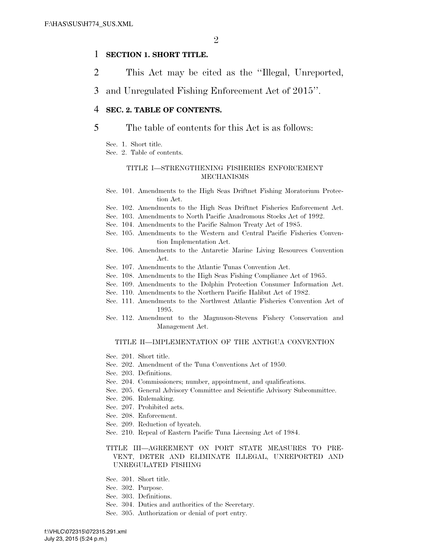#### 1 **SECTION 1. SHORT TITLE.**

- 2 This Act may be cited as the ''Illegal, Unreported,
- 3 and Unregulated Fishing Enforcement Act of 2015''.

#### 4 **SEC. 2. TABLE OF CONTENTS.**

#### 5 The table of contents for this Act is as follows:

- Sec. 1. Short title.
- Sec. 2. Table of contents.

#### TITLE I—STRENGTHENING FISHERIES ENFORCEMENT MECHANISMS

- Sec. 101. Amendments to the High Seas Driftnet Fishing Moratorium Protection Act.
- Sec. 102. Amendments to the High Seas Driftnet Fisheries Enforcement Act.
- Sec. 103. Amendments to North Pacific Anadromous Stocks Act of 1992.
- Sec. 104. Amendments to the Pacific Salmon Treaty Act of 1985.
- Sec. 105. Amendments to the Western and Central Pacific Fisheries Convention Implementation Act.
- Sec. 106. Amendments to the Antarctic Marine Living Resources Convention Act.
- Sec. 107. Amendments to the Atlantic Tunas Convention Act.
- Sec. 108. Amendments to the High Seas Fishing Compliance Act of 1965.
- Sec. 109. Amendments to the Dolphin Protection Consumer Information Act.
- Sec. 110. Amendments to the Northern Pacific Halibut Act of 1982.
- Sec. 111. Amendments to the Northwest Atlantic Fisheries Convention Act of 1995.
- Sec. 112. Amendment to the Magnuson-Stevens Fishery Conservation and Management Act.

#### TITLE II—IMPLEMENTATION OF THE ANTIGUA CONVENTION

- Sec. 201. Short title.
- Sec. 202. Amendment of the Tuna Conventions Act of 1950.
- Sec. 203. Definitions.
- Sec. 204. Commissioners; number, appointment, and qualifications.
- Sec. 205. General Advisory Committee and Scientific Advisory Subcommittee.
- Sec. 206. Rulemaking.
- Sec. 207. Prohibited acts.
- Sec. 208. Enforcement.
- Sec. 209. Reduction of bycatch.
- Sec. 210. Repeal of Eastern Pacific Tuna Licensing Act of 1984.

#### TITLE III—AGREEMENT ON PORT STATE MEASURES TO PRE-VENT, DETER AND ELIMINATE ILLEGAL, UNREPORTED AND UNREGULATED FISHING

- Sec. 301. Short title.
- Sec. 302. Purpose.
- Sec. 303. Definitions.
- Sec. 304. Duties and authorities of the Secretary.
- Sec. 305. Authorization or denial of port entry.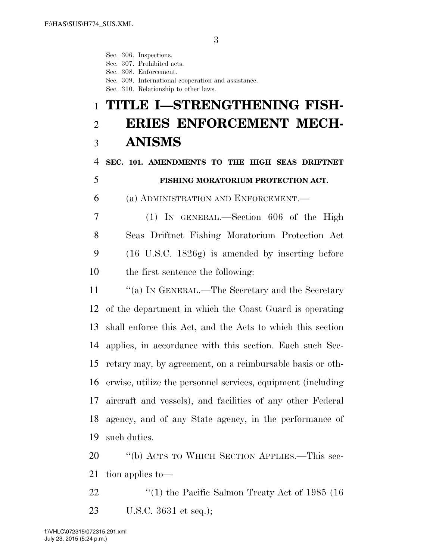Sec. 306. Inspections.

Sec. 307. Prohibited acts.

Sec. 308. Enforcement.

Sec. 309. International cooperation and assistance.

Sec. 310. Relationship to other laws.

# **TITLE I—STRENGTHENING FISH- ERIES ENFORCEMENT MECH-ANISMS**

## **SEC. 101. AMENDMENTS TO THE HIGH SEAS DRIFTNET FISHING MORATORIUM PROTECTION ACT.**

(a) ADMINISTRATION AND ENFORCEMENT.—

 (1) IN GENERAL.—Section 606 of the High Seas Driftnet Fishing Moratorium Protection Act (16 U.S.C. 1826g) is amended by inserting before the first sentence the following:

11 ""(a) IN GENERAL.—The Secretary and the Secretary of the department in which the Coast Guard is operating shall enforce this Act, and the Acts to which this section applies, in accordance with this section. Each such Sec- retary may, by agreement, on a reimbursable basis or oth- erwise, utilize the personnel services, equipment (including aircraft and vessels), and facilities of any other Federal agency, and of any State agency, in the performance of such duties.

 ''(b) ACTS TO WHICH SECTION APPLIES.—This sec-tion applies to—

22 ''(1) the Pacific Salmon Treaty Act of 1985 (16 U.S.C. 3631 et seq.);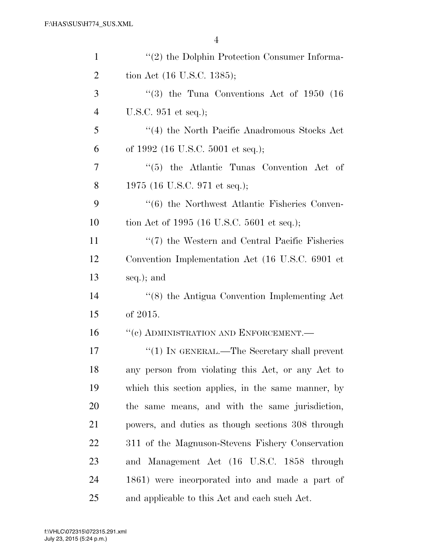| $\mathbf{1}$   | "(2) the Dolphin Protection Consumer Informa-      |
|----------------|----------------------------------------------------|
| $\overline{2}$ | tion Act (16 U.S.C. 1385);                         |
| 3              | $(3)$ the Tuna Conventions Act of 1950 (16)        |
| $\overline{4}$ | U.S.C. 951 et seq.);                               |
| 5              | "(4) the North Pacific Anadromous Stocks Act       |
| 6              | of 1992 (16 U.S.C. 5001 et seq.);                  |
| 7              | "(5) the Atlantic Tunas Convention Act of          |
| 8              | 1975 (16 U.S.C. 971 et seq.);                      |
| 9              | "(6) the Northwest Atlantic Fisheries Conven-      |
| 10             | tion Act of 1995 (16 U.S.C. 5601 et seq.);         |
| 11             | "(7) the Western and Central Pacific Fisheries     |
| 12             | Convention Implementation Act (16 U.S.C. 6901 et   |
| 13             | seq.); and                                         |
| 14             | "(8) the Antigua Convention Implementing Act       |
| 15             | of 2015.                                           |
| 16             | "(c) ADMINISTRATION AND ENFORCEMENT.—              |
| 17             | "(1) IN GENERAL.—The Secretary shall prevent       |
| 18             | any person from violating this Act, or any Act to  |
| 19             | which this section applies, in the same manner, by |
| 20             | the same means, and with the same jurisdiction,    |
| 21             | powers, and duties as though sections 308 through  |
| 22             | 311 of the Magnuson-Stevens Fishery Conservation   |
| 23             | and Management Act (16 U.S.C. 1858 through         |
| 24             | 1861) were incorporated into and made a part of    |
| 25             | and applicable to this Act and each such Act.      |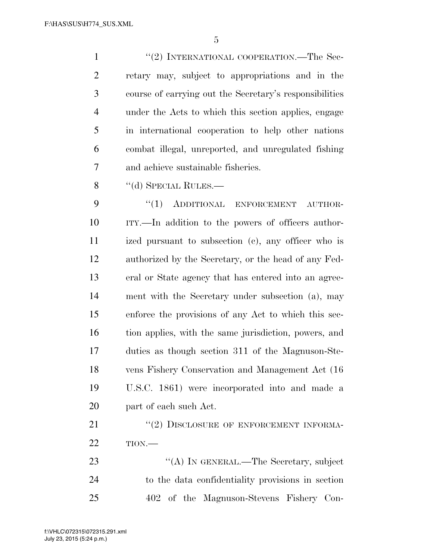1 ''(2) INTERNATIONAL COOPERATION.—The Sec- retary may, subject to appropriations and in the course of carrying out the Secretary's responsibilities under the Acts to which this section applies, engage in international cooperation to help other nations combat illegal, unreported, and unregulated fishing and achieve sustainable fisheries.

8 "(d) SPECIAL RULES.—

9 "(1) ADDITIONAL ENFORCEMENT AUTHOR- ITY.—In addition to the powers of officers author- ized pursuant to subsection (c), any officer who is authorized by the Secretary, or the head of any Fed- eral or State agency that has entered into an agree- ment with the Secretary under subsection (a), may enforce the provisions of any Act to which this sec- tion applies, with the same jurisdiction, powers, and duties as though section 311 of the Magnuson-Ste- vens Fishery Conservation and Management Act (16 U.S.C. 1861) were incorporated into and made a part of each such Act.

21 "(2) DISCLOSURE OF ENFORCEMENT INFORMA-TION.—

23 "(A) IN GENERAL.—The Secretary, subject to the data confidentiality provisions in section 402 of the Magnuson-Stevens Fishery Con-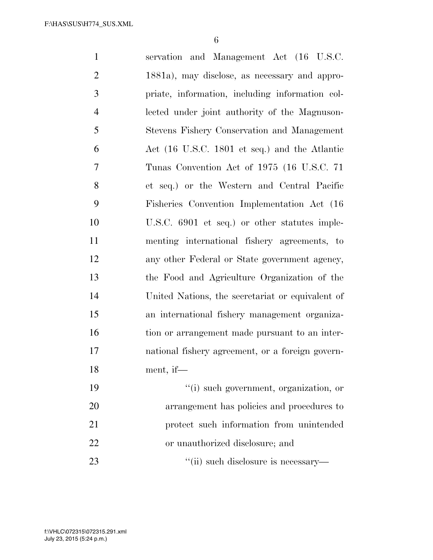| $\mathbf{1}$   | servation and Management Act (16 U.S.C.          |
|----------------|--------------------------------------------------|
| $\overline{2}$ | 1881a), may disclose, as necessary and appro-    |
| 3              | priate, information, including information col-  |
| $\overline{4}$ | lected under joint authority of the Magnuson-    |
| 5              | Stevens Fishery Conservation and Management      |
| 6              | Act (16 U.S.C. 1801 et seq.) and the Atlantic    |
| 7              | Tunas Convention Act of 1975 (16 U.S.C. 71)      |
| 8              | et seq.) or the Western and Central Pacific      |
| 9              | Fisheries Convention Implementation Act (16)     |
| 10             | U.S.C. 6901 et seq.) or other statutes imple-    |
| 11             | menting international fishery agreements, to     |
| 12             | any other Federal or State government agency,    |
| 13             | the Food and Agriculture Organization of the     |
| 14             | United Nations, the secretariat or equivalent of |
| 15             | an international fishery management organiza-    |
| 16             | tion or arrangement made pursuant to an inter-   |
| 17             | national fishery agreement, or a foreign govern- |
| 18             | ment, if—                                        |
| 19             | "(i) such government, organization, or           |
| 20             | arrangement has policies and procedures to       |
| 21             | protect such information from unintended         |
| 22             | or unauthorized disclosure; and                  |
| 23             | "(ii) such disclosure is necessary—              |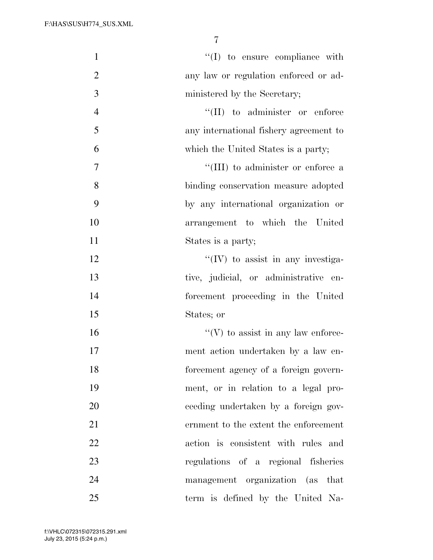| $\mathbf{1}$   | $\lq\lq$ to ensure compliance with        |
|----------------|-------------------------------------------|
| $\overline{2}$ | any law or regulation enforced or ad-     |
| 3              | ministered by the Secretary;              |
| $\overline{4}$ | $\lq\lq$ (II) to administer or enforce    |
| 5              | any international fishery agreement to    |
| 6              | which the United States is a party;       |
| $\tau$         | "(III) to administer or enforce a         |
| 8              | binding conservation measure adopted      |
| 9              | by any international organization or      |
| 10             | arrangement to which the United           |
| 11             | States is a party;                        |
| 12             | "(IV) to assist in any investiga-         |
| 13             | tive, judicial, or administrative en-     |
| 14             | forcement proceeding in the United        |
| 15             | States; or                                |
| 16             | $\lq\lq(V)$ to assist in any law enforce- |
| 17             | ment action undertaken by a law en-       |
| 18             | forcement agency of a foreign govern-     |
| 19             | ment, or in relation to a legal pro-      |
| 20             | ceeding undertaken by a foreign gov-      |
| 21             | ernment to the extent the enforcement     |
| 22             | action is consistent with rules and       |
| 23             | regulations of a regional fisheries       |
| 24             | management organization (as that          |
| 25             | term is defined by the United Na-         |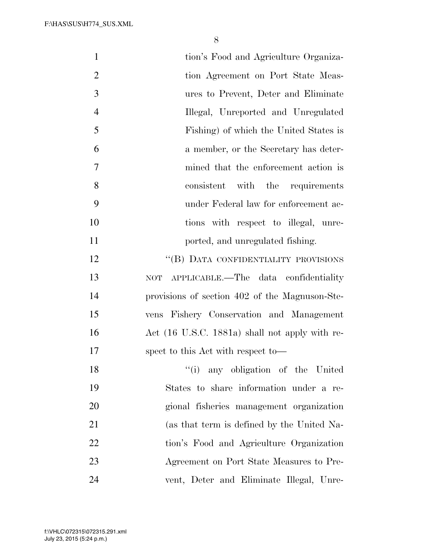| $\mathbf{1}$   | tion's Food and Agriculture Organiza-          |
|----------------|------------------------------------------------|
| $\overline{2}$ | tion Agreement on Port State Meas-             |
| 3              | ures to Prevent, Deter and Eliminate           |
| $\overline{4}$ | Illegal, Unreported and Unregulated            |
| 5              | Fishing) of which the United States is         |
| 6              | a member, or the Secretary has deter-          |
| $\overline{7}$ | mined that the enforcement action is           |
| 8              | consistent with the requirements               |
| 9              | under Federal law for enforcement ac-          |
| 10             | tions with respect to illegal, unre-           |
| 11             | ported, and unregulated fishing.               |
| 12             | "(B) DATA CONFIDENTIALITY PROVISIONS           |
| 13             | NOT APPLICABLE.—The data confidentiality       |
| 14             | provisions of section 402 of the Magnuson-Ste- |
| 15             | vens Fishery Conservation and Management       |
| 16             | Act (16 U.S.C. 1881a) shall not apply with re- |
| 17             | spect to this Act with respect to-             |
| 18             | "(i) any obligation of the United              |
| 19             | States to share information under a re-        |
| 20             | gional fisheries management organization       |
| 21             | (as that term is defined by the United Na-     |
| 22             | tion's Food and Agriculture Organization       |
| 23             | Agreement on Port State Measures to Pre-       |
| 24             | vent, Deter and Eliminate Illegal, Unre-       |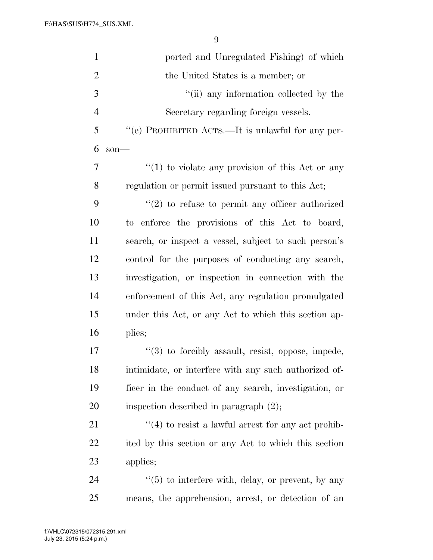| $\mathbf{1}$   | ported and Unregulated Fishing) of which               |
|----------------|--------------------------------------------------------|
| $\overline{2}$ | the United States is a member; or                      |
| 3              | "(ii) any information collected by the                 |
| $\overline{4}$ | Secretary regarding foreign vessels.                   |
| 5              | "(e) PROHIBITED ACTS.—It is unlawful for any per-      |
| 6              | $son$ —                                                |
| 7              | $f(1)$ to violate any provision of this Act or any     |
| 8              | regulation or permit issued pursuant to this Act;      |
| 9              | $\lq(2)$ to refuse to permit any officer authorized    |
| 10             | to enforce the provisions of this Act to board,        |
| 11             | search, or inspect a vessel, subject to such person's  |
| 12             | control for the purposes of conducting any search,     |
| 13             | investigation, or inspection in connection with the    |
| 14             | enforcement of this Act, any regulation promulgated    |
| 15             | under this Act, or any Act to which this section ap-   |
| 16             | plies;                                                 |
| 17             | "(3) to forcibly assault, resist, oppose, impede,      |
| 18             | intimidate, or interfere with any such authorized of-  |
| 19             | ficer in the conduct of any search, investigation, or  |
| 20             | inspection described in paragraph $(2)$ ;              |
| 21             | $\lq(4)$ to resist a lawful arrest for any act prohib- |
| 22             | ited by this section or any Act to which this section  |
| 23             | applies;                                               |
| 24             | $\lq(5)$ to interfere with, delay, or prevent, by any  |
| 25             | means, the apprehension, arrest, or detection of an    |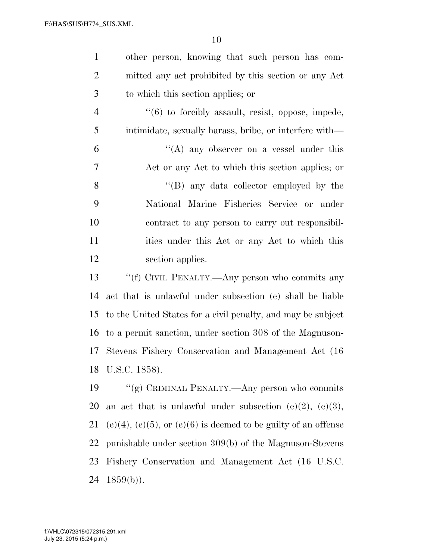| $\mathbf{1}$   | other person, knowing that such person has com-                        |
|----------------|------------------------------------------------------------------------|
| $\overline{2}$ | mitted any act prohibited by this section or any Act                   |
| 3              | to which this section applies; or                                      |
| $\overline{4}$ | $\lq(6)$ to forcibly assault, resist, oppose, impede,                  |
| 5              | intimidate, sexually harass, bribe, or interfere with—                 |
| 6              | "(A) any observer on a vessel under this                               |
| 7              | Act or any Act to which this section applies; or                       |
| 8              | $\lq\lq (B)$ any data collector employed by the                        |
| 9              | National Marine Fisheries Service or under                             |
| 10             | contract to any person to carry out responsibil-                       |
| 11             | ities under this Act or any Act to which this                          |
| 12             | section applies.                                                       |
| 13             | "(f) CIVIL PENALTY.—Any person who commits any                         |
| 14             | act that is unlawful under subsection (e) shall be liable              |
| 15             | to the United States for a civil penalty, and may be subject           |
| 16             | to a permit sanction, under section 308 of the Magnuson-               |
| 17             | Stevens Fishery Conservation and Management Act (16)                   |
| 18             | U.S.C. 1858).                                                          |
| 19             | "(g) CRIMINAL PENALTY.—Any person who commits                          |
| <b>20</b>      | an act that is unlawful under subsection $(e)(2)$ , $(e)(3)$ ,         |
| 21             | $(e)(4)$ , $(e)(5)$ , or $(e)(6)$ is deemed to be guilty of an offense |
| <u>22</u>      | punishable under section 309(b) of the Magnuson-Stevens                |
| 23             | Fishery Conservation and Management Act (16 U.S.C.                     |
| 24             | $1859(b)$ ).                                                           |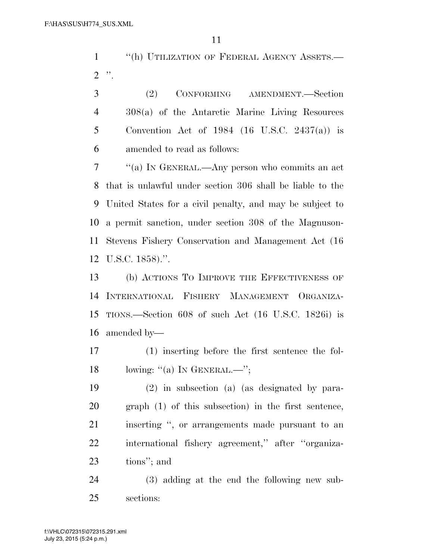1 <sup>"</sup>(h) UTILIZATION OF FEDERAL AGENCY ASSETS.— ".

 (2) CONFORMING AMENDMENT.—Section 308(a) of the Antarctic Marine Living Resources Convention Act of 1984 (16 U.S.C. 2437(a)) is amended to read as follows:

 ''(a) IN GENERAL.—Any person who commits an act that is unlawful under section 306 shall be liable to the United States for a civil penalty, and may be subject to a permit sanction, under section 308 of the Magnuson- Stevens Fishery Conservation and Management Act (16 U.S.C. 1858).''.

 (b) ACTIONS TO IMPROVE THE EFFECTIVENESS OF INTERNATIONAL FISHERY MANAGEMENT ORGANIZA- TIONS.—Section 608 of such Act (16 U.S.C. 1826i) is amended by—

 (1) inserting before the first sentence the fol-18 lowing: "(a) In GENERAL.—";

 (2) in subsection (a) (as designated by para- graph (1) of this subsection) in the first sentence, inserting '', or arrangements made pursuant to an international fishery agreement,'' after ''organiza-tions''; and

 (3) adding at the end the following new sub-sections: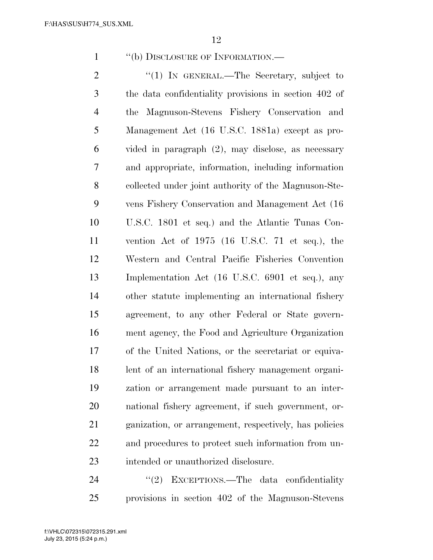1 "(b) DISCLOSURE OF INFORMATION.—

2 "(1) IN GENERAL.—The Secretary, subject to the data confidentiality provisions in section 402 of the Magnuson-Stevens Fishery Conservation and Management Act (16 U.S.C. 1881a) except as pro- vided in paragraph (2), may disclose, as necessary and appropriate, information, including information collected under joint authority of the Magnuson-Ste- vens Fishery Conservation and Management Act (16 U.S.C. 1801 et seq.) and the Atlantic Tunas Con- vention Act of 1975 (16 U.S.C. 71 et seq.), the Western and Central Pacific Fisheries Convention Implementation Act (16 U.S.C. 6901 et seq.), any other statute implementing an international fishery agreement, to any other Federal or State govern- ment agency, the Food and Agriculture Organization of the United Nations, or the secretariat or equiva- lent of an international fishery management organi- zation or arrangement made pursuant to an inter- national fishery agreement, if such government, or- ganization, or arrangement, respectively, has policies and procedures to protect such information from un-intended or unauthorized disclosure.

24 "(2) EXCEPTIONS.—The data confidentiality provisions in section 402 of the Magnuson-Stevens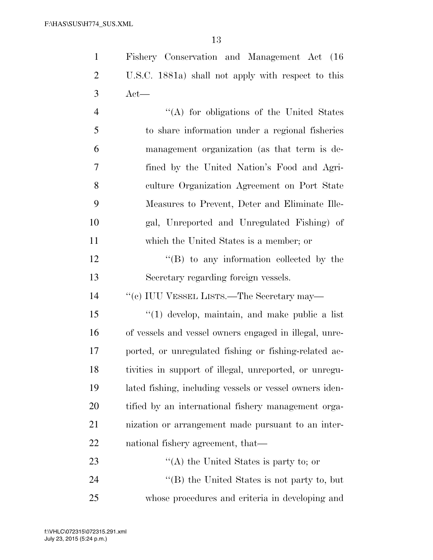| $\mathbf{1}$   | Fishery Conservation and Management Act (16             |
|----------------|---------------------------------------------------------|
| $\overline{2}$ | U.S.C. 1881a) shall not apply with respect to this      |
| 3              | $Act$ —                                                 |
| $\overline{4}$ | "(A) for obligations of the United States               |
| 5              | to share information under a regional fisheries         |
| 6              | management organization (as that term is de-            |
| 7              | fined by the United Nation's Food and Agri-             |
| 8              | culture Organization Agreement on Port State            |
| 9              | Measures to Prevent, Deter and Eliminate Ille-          |
| 10             | gal, Unreported and Unregulated Fishing) of             |
| 11             | which the United States is a member; or                 |
| 12             | $\lq\lq (B)$ to any information collected by the        |
| 13             | Secretary regarding foreign vessels.                    |
| 14             | "(c) IUU VESSEL LISTS.—The Secretary may—               |
| 15             | $\lq(1)$ develop, maintain, and make public a list      |
| 16             | of vessels and vessel owners engaged in illegal, unre-  |
| 17             | ported, or unregulated fishing or fishing-related ac-   |
| 18             | tivities in support of illegal, unreported, or unregu-  |
| 19             | lated fishing, including vessels or vessel owners iden- |
| 20             | tified by an international fishery management orga-     |

 nization or arrangement made pursuant to an inter-national fishery agreement, that—

23 ''(A) the United States is party to; or 24 ''(B) the United States is not party to, but whose procedures and criteria in developing and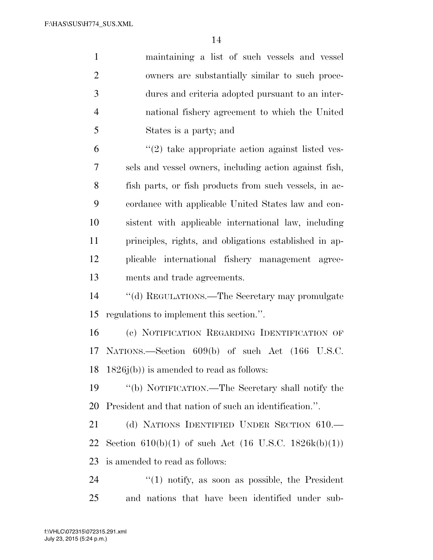| $\mathbf{1}$   | maintaining a list of such vessels and vessel          |
|----------------|--------------------------------------------------------|
| $\overline{2}$ | owners are substantially similar to such proce-        |
| 3              | dures and criteria adopted pursuant to an inter-       |
| $\overline{4}$ | national fishery agreement to which the United         |
| 5              | States is a party; and                                 |
| 6              | $\lq(2)$ take appropriate action against listed ves-   |
| $\overline{7}$ | sels and vessel owners, including action against fish, |
| 8              | fish parts, or fish products from such vessels, in ac- |
| 9              | cordance with applicable United States law and con-    |
| 10             | sistent with applicable international law, including   |
| 11             | principles, rights, and obligations established in ap- |
| 12             | plicable international fishery management agree-       |
| 13             | ments and trade agreements.                            |
| 14             | "(d) REGULATIONS.—The Secretary may promulgate         |
| 15             | regulations to implement this section.".               |
| 16             | (c) NOTIFICATION REGARDING IDENTIFICATION OF           |
| 17             | NATIONS.—Section 609(b) of such Act (166 U.S.C.        |
| 18             | $1826j(b)$ is amended to read as follows:              |
| 19             | "(b) NOTIFICATION.—The Secretary shall notify the      |
| 20             | President and that nation of such an identification.". |
| 21             | (d) NATIONS IDENTIFIED UNDER SECTION 610.              |
| 22             | Section 610(b)(1) of such Act (16 U.S.C. 1826k(b)(1))  |
| 23             | is amended to read as follows:                         |
| 24             | $\lq(1)$ notify, as soon as possible, the President    |
| 25             | and nations that have been identified under sub-       |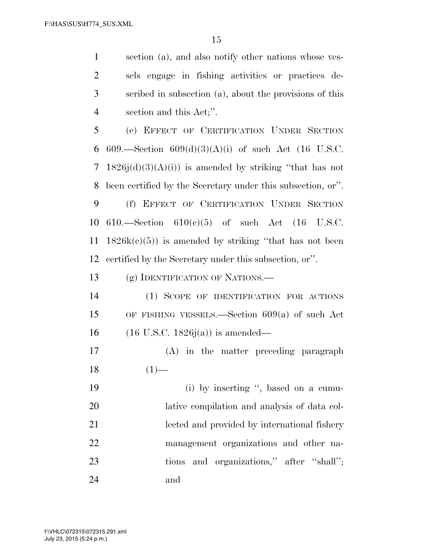section (a), and also notify other nations whose ves- sels engage in fishing activities or practices de- scribed in subsection (a), about the provisions of this section and this Act;''.

 (e) EFFECT OF CERTIFICATION UNDER SECTION 6 609.—Section  $609(d)(3)(A)(i)$  of such Act (16 U.S.C. 7 1826j(d)(3)(A)(j)) is amended by striking "that has not been certified by the Secretary under this subsection, or''.

 (f) EFFECT OF CERTIFICATION UNDER SECTION 610.—Section 610(c)(5) of such Act (16 U.S.C.  $1826k(c)(5)$  is amended by striking "that has not been certified by the Secretary under this subsection, or''.

13 (g) IDENTIFICATION OF NATIONS.—

 (1) SCOPE OF IDENTIFICATION FOR ACTIONS OF FISHING VESSELS.—Section 609(a) of such Act (16 U.S.C. 1826j(a)) is amended—

 (A) in the matter preceding paragraph  $18 \t(1)$ —

19 (i) by inserting ", based on a cumu- lative compilation and analysis of data col- lected and provided by international fishery management organizations and other na-23 tions and organizations," after "shall"; and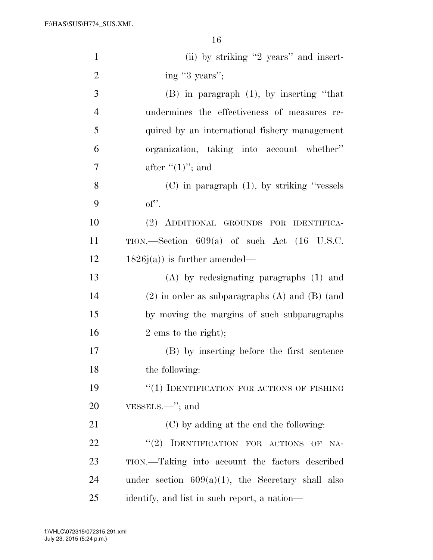| $\mathbf{1}$   | (ii) by striking "2 years" and insert-                   |
|----------------|----------------------------------------------------------|
| $\overline{2}$ | ing "3 years";                                           |
| 3              | $(B)$ in paragraph $(1)$ , by inserting "that            |
| $\overline{4}$ | undermines the effectiveness of measures re-             |
| 5              | quired by an international fishery management            |
| 6              | organization, taking into account whether"               |
| $\tau$         | after $((1)$ "; and                                      |
| 8              | $(C)$ in paragraph $(1)$ , by striking "vessels"         |
| 9              | $of$ ".                                                  |
| 10             | (2) ADDITIONAL GROUNDS FOR IDENTIFICA-                   |
| 11             | TION.—Section $609(a)$ of such Act $(16 \text{ U.S.C.})$ |
| 12             | $1826j(a)$ is further amended—                           |
| 13             | $(A)$ by redesignating paragraphs $(1)$ and              |
| 14             | $(2)$ in order as subparagraphs $(A)$ and $(B)$ (and     |
| 15             | by moving the margins of such subparagraphs              |
| 16             | $2 \text{ ems}$ to the right);                           |
| 17             | (B) by inserting before the first sentence               |
| 18             | the following:                                           |
| 19             | "(1) IDENTIFICATION FOR ACTIONS OF FISHING               |
| 20             | $VESSELS.$ "; and                                        |
| 21             | (C) by adding at the end the following:                  |
| 22             | "(2) IDENTIFICATION FOR ACTIONS OF<br>NA-                |
| 23             | TION.—Taking into account the factors described          |
| 24             | under section $609(a)(1)$ , the Secretary shall also     |
| 25             | identify, and list in such report, a nation—             |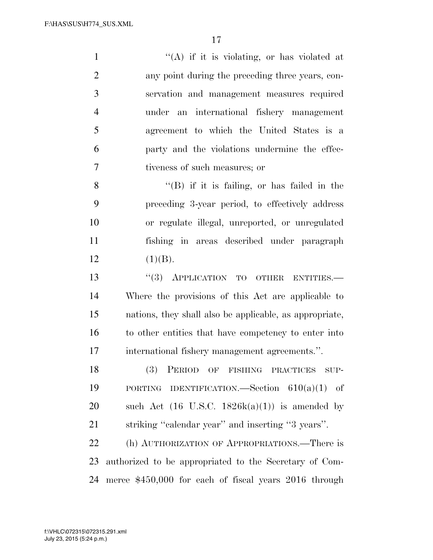$"({\rm A})$  if it is violating, or has violated at any point during the preceding three years, con- servation and management measures required under an international fishery management agreement to which the United States is a party and the violations undermine the effec-tiveness of such measures; or

 $"$ (B) if it is failing, or has failed in the preceding 3-year period, to effectively address or regulate illegal, unreported, or unregulated fishing in areas described under paragraph 12  $(1)(B)$ .

13 "(3) APPLICATION TO OTHER ENTITIES.— Where the provisions of this Act are applicable to nations, they shall also be applicable, as appropriate, to other entities that have competency to enter into international fishery management agreements.''.

 (3) PERIOD OF FISHING PRACTICES SUP- PORTING IDENTIFICATION.—Section 610(a)(1) of 20 such Act  $(16 \text{ U.S.C. } 1826k(a)(1))$  is amended by striking ''calendar year'' and inserting ''3 years''.

 (h) AUTHORIZATION OF APPROPRIATIONS.—There is authorized to be appropriated to the Secretary of Com-merce \$450,000 for each of fiscal years 2016 through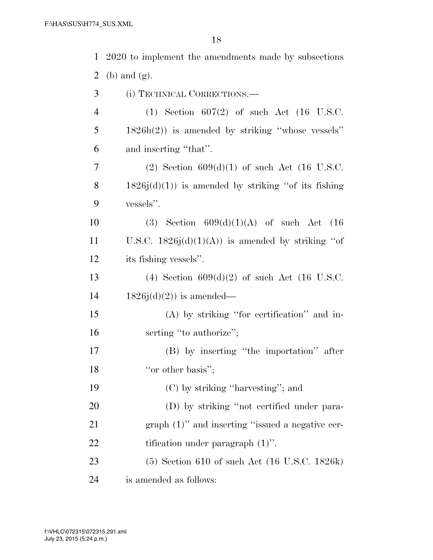| $\mathbf{1}$   | 2020 to implement the amendments made by subsections      |
|----------------|-----------------------------------------------------------|
| $\overline{2}$ | $(b)$ and $(g)$ .                                         |
| 3              | (i) TECHNICAL CORRECTIONS.—                               |
| $\overline{4}$ | $(1)$ Section 607 $(2)$ of such Act $(16 \text{ U.S.C.})$ |
| 5              | $1826h(2)$ ) is amended by striking "whose vessels"       |
| 6              | and inserting "that".                                     |
| $\overline{7}$ | (2) Section $609(d)(1)$ of such Act (16 U.S.C.            |
| 8              | $1826j(d)(1)$ is amended by striking "of its fishing"     |
| 9              | vessels".                                                 |
| 10             | (3) Section $609(d)(1)(A)$ of such Act $(16)$             |
| <sup>11</sup>  | U.S.C. $1826j(d)(1)(A)$ is amended by striking "of        |
| 12             | its fishing vessels".                                     |
| 13             | (4) Section $609(d)(2)$ of such Act (16 U.S.C.            |
| 14             | $1826j(d)(2)$ is amended—                                 |
| 15             | (A) by striking "for certification" and in-               |
| 16             | serting "to authorize";                                   |
| 17             | (B) by inserting "the importation" after                  |
| 18             | "or other basis";                                         |
| 19             | $(C)$ by striking "harvesting"; and                       |
| 20             | (D) by striking "not certified under para-                |
| 21             | $graph (1)$ " and inserting "issued a negative cer-       |
| 22             | tification under paragraph $(1)$ ".                       |
| 23             | $(5)$ Section 610 of such Act (16 U.S.C. 1826k)           |
| 24             | is amended as follows:                                    |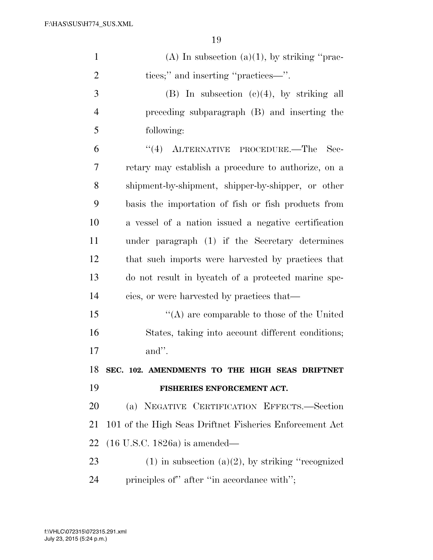| $\mathbf{1}$   | (A) In subsection (a)(1), by striking "prac-            |
|----------------|---------------------------------------------------------|
| $\overline{2}$ | tices;" and inserting "practices—".                     |
| 3              | $(B)$ In subsection $(e)(4)$ , by striking all          |
| $\overline{4}$ | preceding subparagraph (B) and inserting the            |
| 5              | following:                                              |
| 6              | "(4) ALTERNATIVE PROCEDURE.—The<br>Sec-                 |
| 7              | retary may establish a procedure to authorize, on a     |
| 8              | shipment-by-shipment, shipper-by-shipper, or other      |
| 9              | basis the importation of fish or fish products from     |
| 10             | a vessel of a nation issued a negative certification    |
| 11             | under paragraph (1) if the Secretary determines         |
| 12             | that such imports were harvested by practices that      |
| 13             | do not result in by catch of a protected marine spe-    |
| 14             | cies, or were harvested by practices that—              |
| 15             | "(A) are comparable to those of the United              |
| 16             | States, taking into account different conditions;       |
| 17             | and".                                                   |
| 18             | SEC. 102. AMENDMENTS TO THE HIGH SEAS DRIFTNET          |
| 19             | FISHERIES ENFORCEMENT ACT.                              |
| 20             | (a) NEGATIVE CERTIFICATION EFFECTS.-Section             |
| 21             | 101 of the High Seas Driftnet Fisheries Enforcement Act |
| 22             | $(16$ U.S.C. 1826a) is amended—                         |
| 23             | $(1)$ in subsection $(a)(2)$ , by striking "recognized" |
| 24             | principles of" after "in accordance with";              |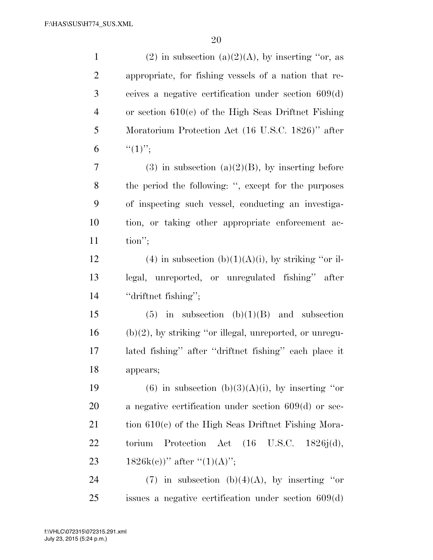| $\mathbf{1}$   | (2) in subsection (a)(2)(A), by inserting "or, as          |
|----------------|------------------------------------------------------------|
| $\overline{2}$ | appropriate, for fishing vessels of a nation that re-      |
| 3              | ceives a negative certification under section $609(d)$     |
| $\overline{4}$ | or section $610(c)$ of the High Seas Driftnet Fishing      |
| 5              | Moratorium Protection Act (16 U.S.C. 1826)" after          |
| 6              | $``(1)$ ";                                                 |
| $\tau$         | $(3)$ in subsection $(a)(2)(B)$ , by inserting before      |
| 8              | the period the following: ", except for the purposes       |
| 9              | of inspecting such vessel, conducting an investiga-        |
| 10             | tion, or taking other appropriate enforcement ac-          |
| 11             | $\text{tion}''$ ;                                          |
| 12             | (4) in subsection (b) $(1)(A)(i)$ , by striking "or il-    |
| 13             | legal, unreported, or unregulated fishing" after           |
| 14             | "driftnet fishing";                                        |
| 15             | in subsection $(b)(1)(B)$ and subsection<br>(5)            |
| 16             | $(b)(2)$ , by striking "or illegal, unreported, or unregu- |
| 17             | lated fishing" after "driftnet fishing" each place it      |
| 18             | appears;                                                   |
| 19             | (6) in subsection (b)(3)(A)(i), by inserting "or           |
| 20             | a negative certification under section $609(d)$ or sec-    |
| 21             | tion $610(c)$ of the High Seas Driftnet Fishing Mora-      |
| 22             | Protection Act $(16 \text{ U.S.C. } 1826j(d)),$<br>torium  |
| 23             | 1826k(c))" after " $(1)(A)$ ";                             |
| 24             | (7) in subsection (b)(4)(A), by inserting "or              |
| 25             | issues a negative certification under section $609(d)$     |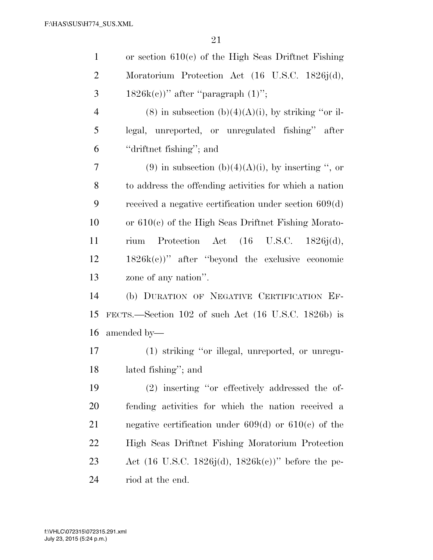| $\mathbf{1}$   | or section $610(c)$ of the High Seas Driftnet Fishing            |
|----------------|------------------------------------------------------------------|
| $\overline{2}$ | Moratorium Protection Act (16 U.S.C. 1826j(d),                   |
| 3              | $1826k(c)$ " after "paragraph $(1)$ ";                           |
| $\overline{4}$ | $(8)$ in subsection $(b)(4)(A)(i)$ , by striking "or il-         |
| 5              | legal, unreported, or unregulated fishing" after                 |
| 6              | "driftnet fishing"; and                                          |
| 7              | (9) in subsection (b)(4)(A)(i), by inserting ", or               |
| 8              | to address the offending activities for which a nation           |
| 9              | received a negative certification under section $609(d)$         |
| 10             | or $610(c)$ of the High Seas Driftnet Fishing Morato-            |
| 11             | Protection Act (16 U.S.C. 1826j(d),<br>rium                      |
| 12             | $1826k(c)$ " after "beyond the exclusive economic                |
| 13             | zone of any nation".                                             |
| 14             | (b) DURATION OF NEGATIVE CERTIFICATION EF-                       |
| 15             | FECTS.—Section $102$ of such Act $(16 \text{ U.S.C. } 1826b)$ is |
| 16             | amended by—                                                      |
| 17             | (1) striking "or illegal, unreported, or unregu-                 |
| 18             | lated fishing"; and                                              |
| 19             | (2) inserting "or effectively addressed the of-                  |
| 20             | fending activities for which the nation received a               |
| 21             | negative certification under $609(d)$ or $610(e)$ of the         |
| 22             | High Seas Driftnet Fishing Moratorium Protection                 |
| 23             | Act (16 U.S.C. 1826j(d), 1826k(c))" before the pe-               |
| 24             | riod at the end.                                                 |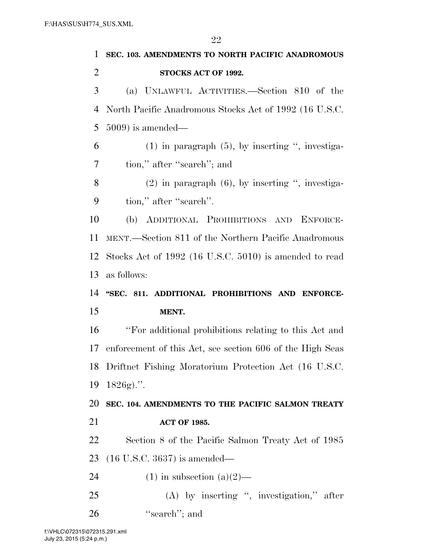| $\mathbf{1}$   | SEC. 103. AMENDMENTS TO NORTH PACIFIC ANADROMOUS          |
|----------------|-----------------------------------------------------------|
| $\overline{2}$ | STOCKS ACT OF 1992.                                       |
| 3              | (a) UNLAWFUL ACTIVITIES.—Section 810 of the               |
| 4              | North Pacific Anadromous Stocks Act of 1992 (16 U.S.C.    |
| 5              | $5009$ ) is amended—                                      |
| 6              | $(1)$ in paragraph $(5)$ , by inserting ", investiga-     |
| 7              | tion," after "search"; and                                |
| 8              | $(2)$ in paragraph $(6)$ , by inserting ", investiga-     |
| 9              | tion," after "search".                                    |
| 10             | (b) ADDITIONAL PROHIBITIONS AND ENFORCE-                  |
| 11             | MENT.—Section 811 of the Northern Pacific Anadromous      |
| 12             | Stocks Act of 1992 (16 U.S.C. 5010) is amended to read    |
| 13             | as follows:                                               |
|                |                                                           |
| 14             | "SEC. 811. ADDITIONAL PROHIBITIONS AND ENFORCE-           |
| 15             | MENT.                                                     |
| 16             | "For additional prohibitions relating to this Act and     |
| 17             | enforcement of this Act, see section 606 of the High Seas |
|                | 18 Driftnet Fishing Moratorium Protection Act (16 U.S.C.  |
| 19             | $1826g$ .".                                               |
| 20             | SEC. 104. AMENDMENTS TO THE PACIFIC SALMON TREATY         |
| 21             | <b>ACT OF 1985.</b>                                       |
| 22             | Section 8 of the Pacific Salmon Treaty Act of 1985        |
| 23             | $(16$ U.S.C. 3637) is amended—                            |
| 24             | $(1)$ in subsection $(a)(2)$ —                            |
| 25             | $(A)$ by inserting ", investigation," after               |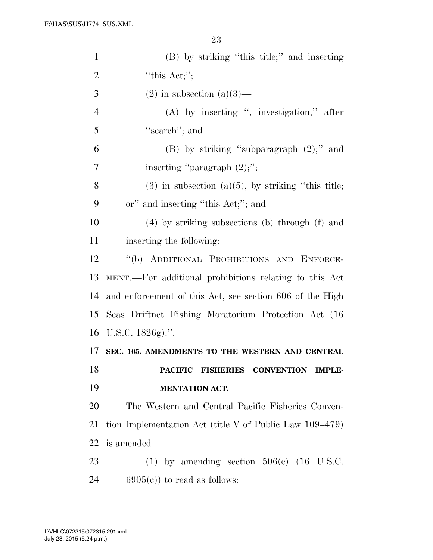| $\mathbf{1}$   | (B) by striking "this title;" and inserting                    |
|----------------|----------------------------------------------------------------|
| $\overline{2}$ | "this $Act;$ ";                                                |
| 3              | $(2)$ in subsection $(a)(3)$ —                                 |
| $\overline{4}$ | $(A)$ by inserting ", investigation," after                    |
| 5              | "search"; and                                                  |
| 6              | (B) by striking "subparagraph $(2)$ ;" and                     |
| 7              | inserting "paragraph $(2)$ ;";                                 |
| 8              | $(3)$ in subsection $(a)(5)$ , by striking "this title;        |
| 9              | or" and inserting "this Act;"; and                             |
| 10             | $(4)$ by striking subsections (b) through (f) and              |
| 11             | inserting the following:                                       |
| 12             | "(b) ADDITIONAL PROHIBITIONS AND ENFORCE-                      |
| 13             | MENT.—For additional prohibitions relating to this Act         |
| 14             | and enforcement of this Act, see section 606 of the High       |
| 15             | Seas Driftnet Fishing Moratorium Protection Act (16)           |
|                | 16 U.S.C. $1826g$ .".                                          |
| 17             | SEC. 105. AMENDMENTS TO THE WESTERN AND CENTRAL                |
| 18             | <b>PACIFIC</b><br><b>FISHERIES CONVENTION</b><br><b>IMPLE-</b> |
| 19             | <b>MENTATION ACT.</b>                                          |
| 20             | The Western and Central Pacific Fisheries Conven-              |
| 21             | tion Implementation Act (title $V$ of Public Law 109–479)      |
| 22             | is amended—                                                    |
| 23             | (1) by amending section $506(c)$ (16 U.S.C.                    |
| 24             | $6905(c)$ to read as follows:                                  |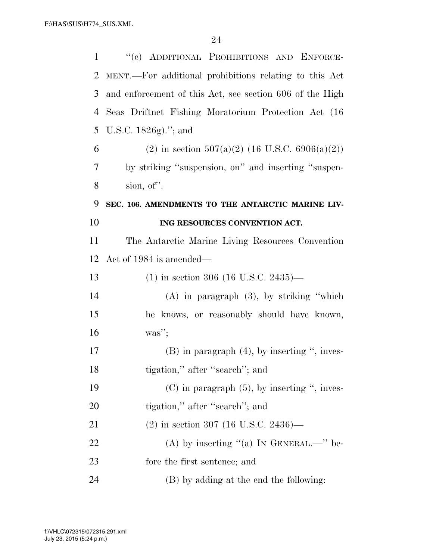| $\mathbf{1}$ | "(c) ADDITIONAL PROHIBITIONS AND ENFORCE-                |
|--------------|----------------------------------------------------------|
| 2            | MENT.—For additional prohibitions relating to this Act   |
| 3            | and enforcement of this Act, see section 606 of the High |
| 4            | Seas Driftnet Fishing Moratorium Protection Act (16)     |
| 5            | U.S.C. 1826g)."; and                                     |
| 6            | (2) in section $507(a)(2)$ (16 U.S.C. 6906(a)(2))        |
| 7            | by striking "suspension, on" and inserting "suspen-      |
| 8            | sion, of".                                               |
| 9            | SEC. 106. AMENDMENTS TO THE ANTARCTIC MARINE LIV-        |
| 10           | ING RESOURCES CONVENTION ACT.                            |
| 11           | The Antarctic Marine Living Resources Convention         |
| 12           | Act of 1984 is amended—                                  |
| 13           | $(1)$ in section 306 (16 U.S.C. 2435)—                   |
| 14           | $(A)$ in paragraph $(3)$ , by striking "which            |
| 15           | he knows, or reasonably should have known,               |
| 16           | $\text{was}''$ ;                                         |
| 17           | $(B)$ in paragraph $(4)$ , by inserting ", inves-        |
| 18           | tigation," after "search"; and                           |
| 19           | $(C)$ in paragraph $(5)$ , by inserting ", inves-        |
| 20           | tigation," after "search"; and                           |
| 21           | $(2)$ in section 307 (16 U.S.C. 2436)—                   |
| 22           | (A) by inserting "(a) IN GENERAL.—" be-                  |
| 23           | fore the first sentence; and                             |
| 24           |                                                          |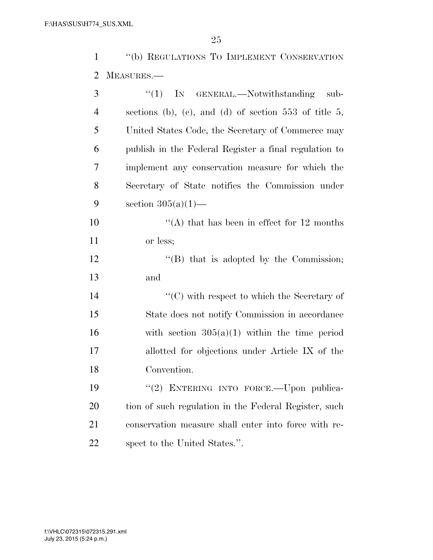''(b) REGULATIONS TO IMPLEMENT CONSERVATION MEASURES.—

| 3              | ``(1)<br>IN GENERAL.—Notwithstanding sub-               |
|----------------|---------------------------------------------------------|
| $\overline{4}$ | sections (b), (c), and (d) of section $553$ of title 5, |
| 5              | United States Code, the Secretary of Commerce may       |
| 6              | publish in the Federal Register a final regulation to   |
| 7              | implement any conservation measure for which the        |
| 8              | Secretary of State notifies the Commission under        |
| 9              | section $305(a)(1)$ —                                   |
| 10             | "(A) that has been in effect for $12$ months            |
| 11             | or less;                                                |
| 12             | $\lq\lq$ that is adopted by the Commission;             |
| 13             | and                                                     |
| 14             | $\lq\lq$ (C) with respect to which the Secretary of     |
| 15             | State does not notify Commission in accordance          |
| 16             | with section $305(a)(1)$ within the time period         |
| 17             | allotted for objections under Article IX of the         |
| 18             | Convention.                                             |
| 19             | "(2) ENTERING INTO FORCE. Upon publica-                 |
| 20             | tion of such regulation in the Federal Register, such   |
| 21             | conservation measure shall enter into force with re-    |
| 22             | spect to the United States.".                           |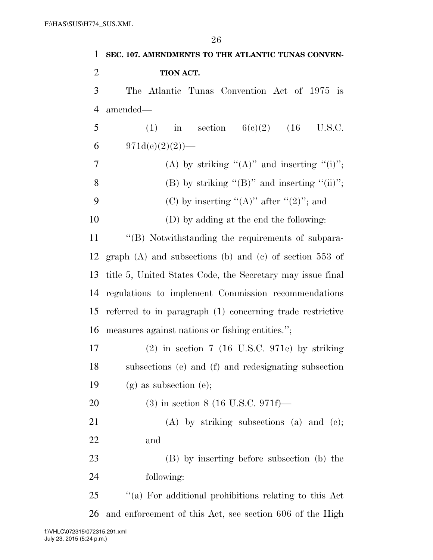| $\mathbf 1$    | SEC. 107. AMENDMENTS TO THE ATLANTIC TUNAS CONVEN-            |
|----------------|---------------------------------------------------------------|
| $\overline{2}$ | TION ACT.                                                     |
| 3              | The Atlantic Tunas Convention Act of 1975 is                  |
| $\overline{4}$ | amended—                                                      |
| 5              | in section $6(e)(2)$ (16 U.S.C.<br>(1)                        |
| 6              | $971d(e)(2)(2)$ )—                                            |
| 7              | (A) by striking " $(A)$ " and inserting " $(i)$ ";            |
| 8              | (B) by striking " $(B)$ " and inserting " $(ii)$ ";           |
| 9              | (C) by inserting " $(A)$ " after " $(2)$ "; and               |
| 10             | (D) by adding at the end the following:                       |
| 11             | "(B) Notwithstanding the requirements of subpara-             |
| 12             | graph $(A)$ and subsections $(b)$ and $(c)$ of section 553 of |
| 13             | title 5, United States Code, the Secretary may issue final    |
| 14             | regulations to implement Commission recommendations           |
| 15             | referred to in paragraph (1) concerning trade restrictive     |
| 16             | measures against nations or fishing entities.";               |
| 17             | $(2)$ in section 7 (16 U.S.C. 971e) by striking               |
| 18             | subsections (e) and (f) and redesignating subsection          |
| 19             | $(g)$ as subsection $(e)$ ;                                   |
| 20             | $(3)$ in section 8 (16 U.S.C. 971f)—                          |
| 21             | $(A)$ by striking subsections $(a)$ and $(c)$ ;               |
| 22             | and                                                           |
| 23             | (B) by inserting before subsection (b) the                    |
| 24             | following:                                                    |
| 25             | "(a) For additional prohibitions relating to this Act         |
| 26             | and enforcement of this Act, see section 606 of the High      |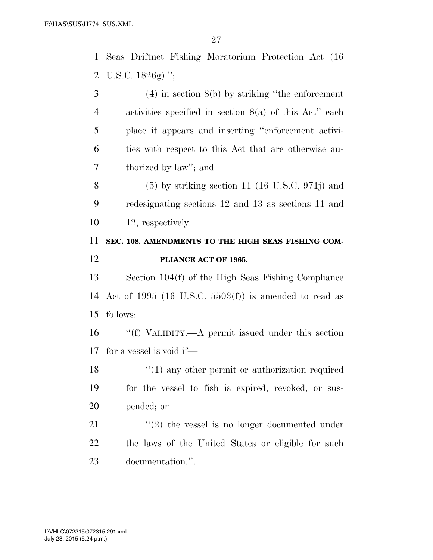Seas Driftnet Fishing Moratorium Protection Act (16 U.S.C. 1826g).'';

 (4) in section 8(b) by striking ''the enforcement activities specified in section 8(a) of this Act'' each place it appears and inserting ''enforcement activi- ties with respect to this Act that are otherwise au-thorized by law''; and

 (5) by striking section 11 (16 U.S.C. 971j) and redesignating sections 12 and 13 as sections 11 and 12, respectively.

## **SEC. 108. AMENDMENTS TO THE HIGH SEAS FISHING COM-PLIANCE ACT OF 1965.**

 Section 104(f) of the High Seas Fishing Compliance Act of 1995 (16 U.S.C. 5503(f)) is amended to read as follows:

 ''(f) VALIDITY.—A permit issued under this section for a vessel is void if—

18 ''(1) any other permit or authorization required for the vessel to fish is expired, revoked, or sus-pended; or

21 ''(2) the vessel is no longer documented under the laws of the United States or eligible for such documentation.''.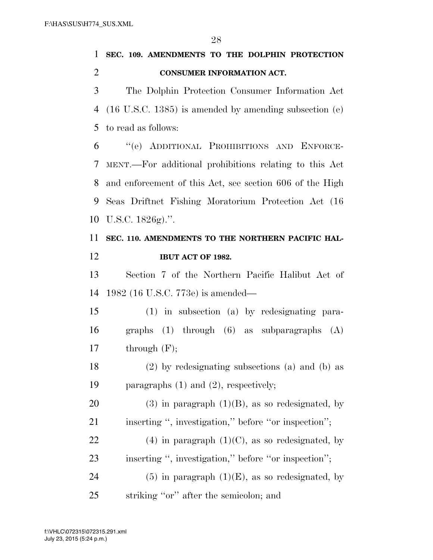**SEC. 109. AMENDMENTS TO THE DOLPHIN PROTECTION** 

| $\overline{2}$ | <b>CONSUMER INFORMATION ACT.</b>                                  |
|----------------|-------------------------------------------------------------------|
| 3              | The Dolphin Protection Consumer Information Act                   |
| 4              | $(16 \text{ U.S.C. } 1385)$ is amended by amending subsection (e) |
| 5              | to read as follows:                                               |
| 6              | "(e) ADDITIONAL PROHIBITIONS AND ENFORCE-                         |
| 7              | MENT.—For additional prohibitions relating to this Act            |
| 8              | and enforcement of this Act, see section 606 of the High          |
| 9              | Seas Driftnet Fishing Moratorium Protection Act (16               |
| 10             | U.S.C. $1826g$ .".                                                |
| 11             | SEC. 110. AMENDMENTS TO THE NORTHERN PACIFIC HAL-                 |
| 12             | IBUT ACT OF 1982.                                                 |
| 13             | Section 7 of the Northern Pacific Halibut Act of                  |
| 14             | 1982 (16 U.S.C. 773e) is amended—                                 |
| 15             | $(1)$ in subsection $(a)$ by redesignating para-                  |
| 16             | graphs $(1)$ through $(6)$ as subparagraphs $(A)$                 |
| 17             | through $(F)$ ;                                                   |
| 18             | $(2)$ by redesignating subsections (a) and (b) as                 |
| 19             | paragraphs $(1)$ and $(2)$ , respectively;                        |
| 20             | $(3)$ in paragraph $(1)(B)$ , as so redesignated, by              |
| 21             | inserting ", investigation," before "or inspection";              |
| 22             | $(4)$ in paragraph $(1)(C)$ , as so redesignated, by              |
| 23             | inserting ", investigation," before "or inspection";              |
| 24             | $(5)$ in paragraph $(1)(E)$ , as so redesignated, by              |
| 25             | striking "or" after the semicolon; and                            |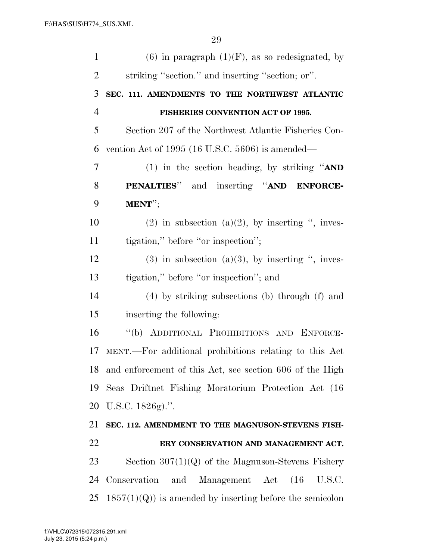| $\mathbf{1}$ | $(6)$ in paragraph $(1)(F)$ , as so redesignated, by      |
|--------------|-----------------------------------------------------------|
| 2            | striking "section." and inserting "section; or".          |
| 3            | SEC. 111. AMENDMENTS TO THE NORTHWEST ATLANTIC            |
| 4            | FISHERIES CONVENTION ACT OF 1995.                         |
| 5            | Section 207 of the Northwest Atlantic Fisheries Con-      |
| 6            | vention Act of $1995$ (16 U.S.C. 5606) is amended—        |
| 7            | (1) in the section heading, by striking " $AND$           |
| 8            | PENALTIES" and inserting "AND ENFORCE-                    |
| 9            | MENT";                                                    |
| 10           | (2) in subsection (a)(2), by inserting ", inves-          |
| 11           | tigation," before "or inspection";                        |
| 12           | $(3)$ in subsection $(a)(3)$ , by inserting ", inves-     |
| 13           | tigation," before "or inspection"; and                    |
| 14           | $(4)$ by striking subsections (b) through $(f)$ and       |
| 15           | inserting the following:                                  |
| 16           | "(b) ADDITIONAL PROHIBITIONS AND ENFORCE-                 |
| 17           | MENT.—For additional prohibitions relating to this Act    |
| 18           | and enforcement of this Act, see section 606 of the High  |
| 19           | Seas Driftnet Fishing Moratorium Protection Act (16)      |
| 20           | U.S.C. $1826g$ .".                                        |
| 21           | SEC. 112. AMENDMENT TO THE MAGNUSON-STEVENS FISH-         |
| 22           | ERY CONSERVATION AND MANAGEMENT ACT.                      |
| 23           | Section $307(1)(Q)$ of the Magnuson-Stevens Fishery       |
| 24           | Conservation<br>Management Act (16 U.S.C.<br>and          |
| 25           | $1857(1)(Q)$ is amended by inserting before the semicolon |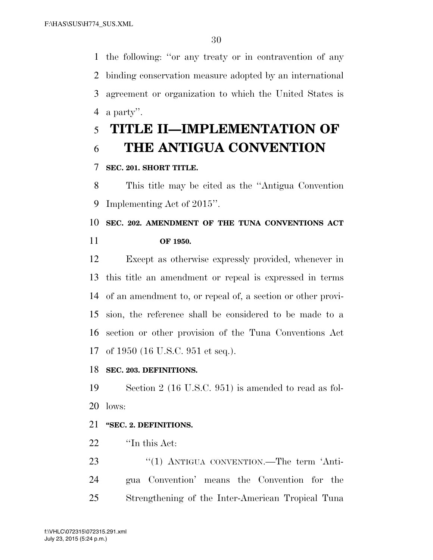the following: ''or any treaty or in contravention of any binding conservation measure adopted by an international agreement or organization to which the United States is a party''.

# **TITLE II—IMPLEMENTATION OF THE ANTIGUA CONVENTION**

## **SEC. 201. SHORT TITLE.**

 This title may be cited as the ''Antigua Convention Implementing Act of 2015''.

# **SEC. 202. AMENDMENT OF THE TUNA CONVENTIONS ACT OF 1950.**

 Except as otherwise expressly provided, whenever in this title an amendment or repeal is expressed in terms of an amendment to, or repeal of, a section or other provi- sion, the reference shall be considered to be made to a section or other provision of the Tuna Conventions Act of 1950 (16 U.S.C. 951 et seq.).

### **SEC. 203. DEFINITIONS.**

 Section 2 (16 U.S.C. 951) is amended to read as fol-lows:

## **''SEC. 2. DEFINITIONS.**

22 <sup>"</sup>In this Act:

23 "(1) ANTIGUA CONVENTION.—The term 'Anti- gua Convention' means the Convention for the Strengthening of the Inter-American Tropical Tuna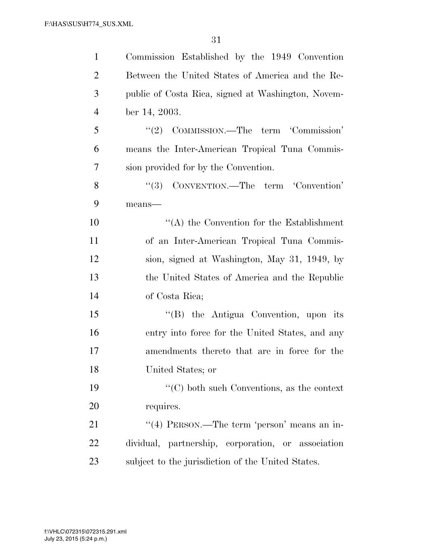| $\mathbf{1}$   | Commission Established by the 1949 Convention      |
|----------------|----------------------------------------------------|
| 2              | Between the United States of America and the Re-   |
| 3              | public of Costa Rica, signed at Washington, Novem- |
| $\overline{4}$ | ber 14, 2003.                                      |
| 5              | "(2) COMMISSION.—The term 'Commission'             |
| 6              | means the Inter-American Tropical Tuna Commis-     |
| 7              | sion provided for by the Convention.               |
| 8              | "(3) CONVENTION.—The term 'Convention'             |
| 9              | $means$ —                                          |
| 10             | $\lq\lq$ the Convention for the Establishment      |
| 11             | of an Inter-American Tropical Tuna Commis-         |
| 12             | sion, signed at Washington, May 31, 1949, by       |
| 13             | the United States of America and the Republic      |
| 14             | of Costa Rica;                                     |
| 15             | "(B) the Antigua Convention, upon its              |
| 16             | entry into force for the United States, and any    |
| 17             | amendments thereto that are in force for the       |
| 18             | United States; or                                  |
| 19             | $\lq\lq$ (C) both such Conventions, as the context |
| 20             | requires.                                          |
| 21             | "(4) PERSON.—The term 'person' means an in-        |
| 22             | dividual, partnership, corporation, or association |
| 23             | subject to the jurisdiction of the United States.  |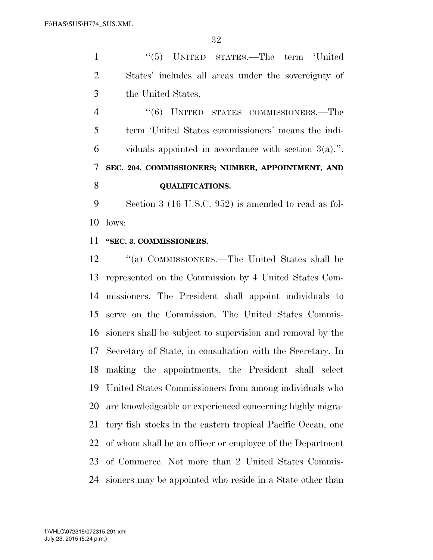1 ''(5) UNITED STATES.—The term 'United States' includes all areas under the sovereignty of the United States.

 ''(6) UNITED STATES COMMISSIONERS.—The term 'United States commissioners' means the indi- viduals appointed in accordance with section 3(a).''. **SEC. 204. COMMISSIONERS; NUMBER, APPOINTMENT, AND QUALIFICATIONS.** 

 Section 3 (16 U.S.C. 952) is amended to read as fol-lows:

#### **''SEC. 3. COMMISSIONERS.**

 ''(a) COMMISSIONERS.—The United States shall be represented on the Commission by 4 United States Com- missioners. The President shall appoint individuals to serve on the Commission. The United States Commis- sioners shall be subject to supervision and removal by the Secretary of State, in consultation with the Secretary. In making the appointments, the President shall select United States Commissioners from among individuals who are knowledgeable or experienced concerning highly migra- tory fish stocks in the eastern tropical Pacific Ocean, one of whom shall be an officer or employee of the Department of Commerce. Not more than 2 United States Commis-sioners may be appointed who reside in a State other than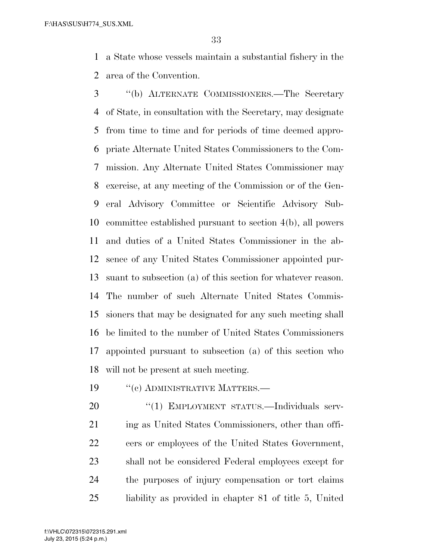a State whose vessels maintain a substantial fishery in the area of the Convention.

 ''(b) ALTERNATE COMMISSIONERS.—The Secretary of State, in consultation with the Secretary, may designate from time to time and for periods of time deemed appro- priate Alternate United States Commissioners to the Com- mission. Any Alternate United States Commissioner may exercise, at any meeting of the Commission or of the Gen- eral Advisory Committee or Scientific Advisory Sub- committee established pursuant to section 4(b), all powers and duties of a United States Commissioner in the ab- sence of any United States Commissioner appointed pur- suant to subsection (a) of this section for whatever reason. The number of such Alternate United States Commis- sioners that may be designated for any such meeting shall be limited to the number of United States Commissioners appointed pursuant to subsection (a) of this section who will not be present at such meeting.

19 <sup>''</sup>(c) ADMINISTRATIVE MATTERS.—

20 "(1) EMPLOYMENT STATUS.—Individuals serv-21 ing as United States Commissioners, other than offi- cers or employees of the United States Government, shall not be considered Federal employees except for the purposes of injury compensation or tort claims liability as provided in chapter 81 of title 5, United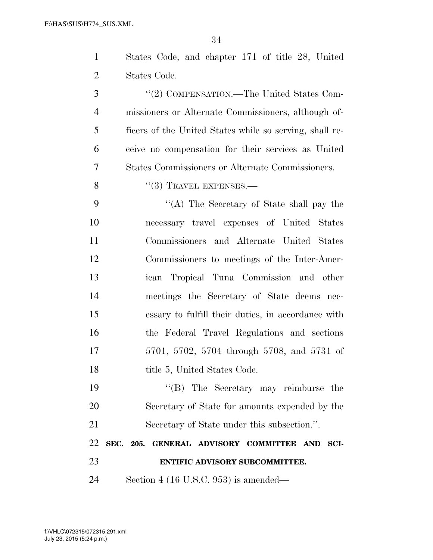$\overline{24}$ 

| 23             | ENTIFIC ADVISORY SUBCOMMITTEE.                             |
|----------------|------------------------------------------------------------|
| 22             | SEC. 205. GENERAL ADVISORY COMMITTEE<br><b>AND</b><br>SCI- |
| 21             | Secretary of State under this subsection.".                |
| 20             | Secretary of State for amounts expended by the             |
| 19             | "(B) The Secretary may reimburse the                       |
| 18             | title 5, United States Code.                               |
| 17             | 5701, 5702, 5704 through 5708, and 5731 of                 |
| 16             | the Federal Travel Regulations and sections                |
| 15             | essary to fulfill their duties, in accordance with         |
| 14             | meetings the Secretary of State deems nec-                 |
| 13             | ican Tropical Tuna Commission and other                    |
| 12             | Commissioners to meetings of the Inter-Amer-               |
| 11             | Commissioners and Alternate United States                  |
| 10             | necessary travel expenses of United States                 |
| 9              | "(A) The Secretary of State shall pay the                  |
| 8              | $``(3)$ TRAVEL EXPENSES.—                                  |
| 7              | States Commissioners or Alternate Commissioners.           |
| 6              | ceive no compensation for their services as United         |
| 5              | ficers of the United States while so serving, shall re-    |
| $\overline{4}$ | missioners or Alternate Commissioners, although of-        |
| 3              | "(2) COMPENSATION.—The United States Com-                  |
| $\overline{2}$ | States Code.                                               |
| $\mathbf{1}$   | States Code, and chapter 171 of title 28, United           |
|                | ðŦ                                                         |

Section 4 (16 U.S.C. 953) is amended—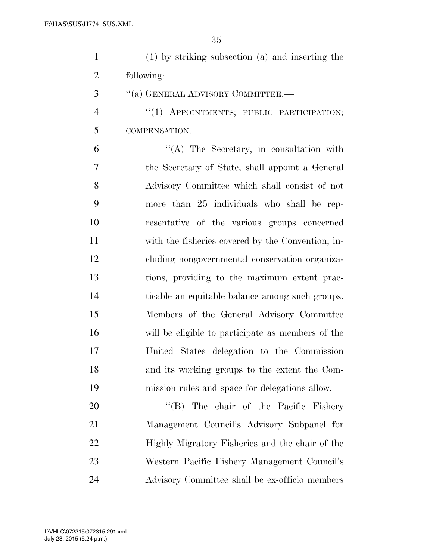| (1) by striking subsection (a) and inserting the |
|--------------------------------------------------|
| following:                                       |

''(a) GENERAL ADVISORY COMMITTEE.—

4 "(1) APPOINTMENTS; PUBLIC PARTICIPATION; COMPENSATION.—

 ''(A) The Secretary, in consultation with the Secretary of State, shall appoint a General Advisory Committee which shall consist of not more than 25 individuals who shall be rep- resentative of the various groups concerned with the fisheries covered by the Convention, in- cluding nongovernmental conservation organiza- tions, providing to the maximum extent prac- ticable an equitable balance among such groups. Members of the General Advisory Committee will be eligible to participate as members of the United States delegation to the Commission and its working groups to the extent the Com-mission rules and space for delegations allow.

20 "'(B) The chair of the Pacific Fishery Management Council's Advisory Subpanel for Highly Migratory Fisheries and the chair of the Western Pacific Fishery Management Council's Advisory Committee shall be ex-officio members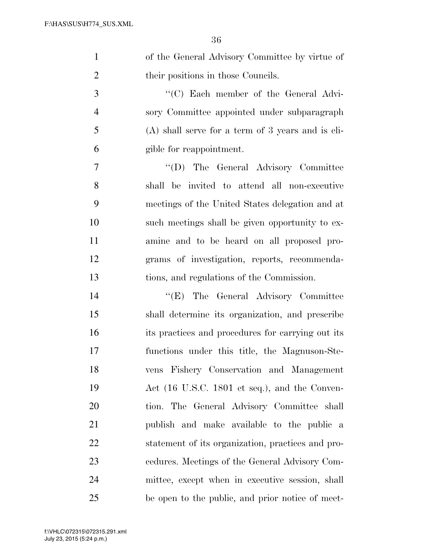| 1 | of the General Advisory Committee by virtue of      |
|---|-----------------------------------------------------|
| 2 | their positions in those Councils.                  |
| 3 | "(C) Each member of the General Advi-               |
| 4 | sory Committee appointed under subparagraph         |
| 5 | $(A)$ shall serve for a term of 3 years and is eli- |

gible for reappointment.

 ''(D) The General Advisory Committee shall be invited to attend all non-executive meetings of the United States delegation and at such meetings shall be given opportunity to ex- amine and to be heard on all proposed pro- grams of investigation, reports, recommenda-tions, and regulations of the Commission.

 ''(E) The General Advisory Committee shall determine its organization, and prescribe its practices and procedures for carrying out its functions under this title, the Magnuson-Ste- vens Fishery Conservation and Management Act (16 U.S.C. 1801 et seq.), and the Conven- tion. The General Advisory Committee shall publish and make available to the public a statement of its organization, practices and pro- cedures. Meetings of the General Advisory Com- mittee, except when in executive session, shall be open to the public, and prior notice of meet-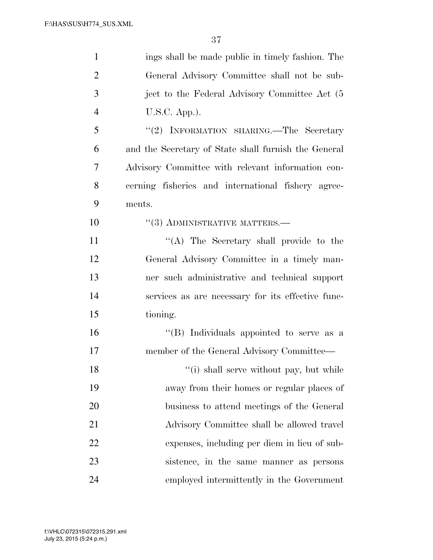| $\mathbf{1}$   | ings shall be made public in timely fashion. The     |
|----------------|------------------------------------------------------|
| $\overline{2}$ | General Advisory Committee shall not be sub-         |
| 3              | ject to the Federal Advisory Committee Act (5        |
| $\overline{4}$ | $U.S.C.$ App.).                                      |
| 5              | "(2) INFORMATION SHARING.—The Secretary              |
| 6              | and the Secretary of State shall furnish the General |
| 7              | Advisory Committee with relevant information con-    |
| 8              | cerning fisheries and international fishery agree-   |
| 9              | ments.                                               |
| 10             | $``(3)$ ADMINISTRATIVE MATTERS.—                     |
| 11             | "(A) The Secretary shall provide to the              |
| 12             | General Advisory Committee in a timely man-          |
| 13             | ner such administrative and technical support        |
| 14             | services as are necessary for its effective func-    |
| 15             | tioning.                                             |
| 16             | "(B) Individuals appointed to serve as a             |
| 17             | member of the General Advisory Committee—            |
| 18             | "(i) shall serve without pay, but while              |
| 19             | away from their homes or regular places of           |
| 20             | business to attend meetings of the General           |
| 21             | Advisory Committee shall be allowed travel           |
| 22             | expenses, including per diem in lieu of sub-         |
| 23             | sistence, in the same manner as persons              |
| 24             | employed intermittently in the Government            |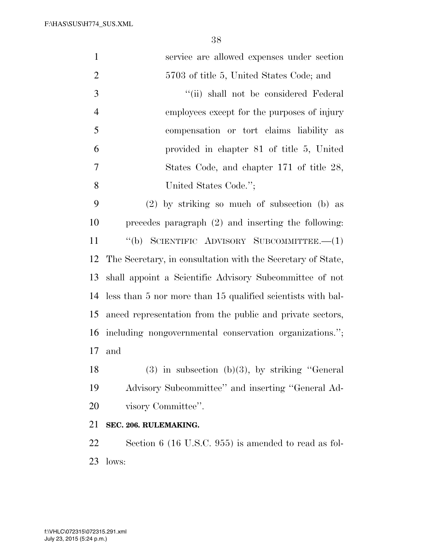F:\HAS\SUS\H774\_SUS.XML

| $\mathbf{1}$   | service are allowed expenses under section                  |
|----------------|-------------------------------------------------------------|
| $\overline{2}$ | 5703 of title 5, United States Code; and                    |
| 3              | "(ii) shall not be considered Federal                       |
| $\overline{4}$ | employees except for the purposes of injury                 |
| 5              | compensation or tort claims liability as                    |
| 6              | provided in chapter 81 of title 5, United                   |
| $\overline{7}$ | States Code, and chapter 171 of title 28,                   |
| 8              | United States Code.";                                       |
| 9              | (2) by striking so much of subsection (b) as                |
| 10             | precedes paragraph $(2)$ and inserting the following:       |
| 11             | $\lq\lq(b)$ SCIENTIFIC ADVISORY SUBCOMMITTEE. $-(1)$        |
| 12             | The Secretary, in consultation with the Secretary of State, |
| 13             | shall appoint a Scientific Advisory Subcommittee of not     |
| 14             | less than 5 nor more than 15 qualified scientists with bal- |
| 15             | anced representation from the public and private sectors,   |
| 16             | including nongovernmental conservation organizations.";     |
| 17             | and                                                         |
| 18             | $(3)$ in subsection $(b)(3)$ , by striking "General         |
| 19             | Advisory Subcommittee" and inserting "General Ad-           |
| 20             | visory Committee".                                          |
| 21             | SEC. 206. RULEMAKING.                                       |
|                |                                                             |

 Section 6 (16 U.S.C. 955) is amended to read as fol-lows: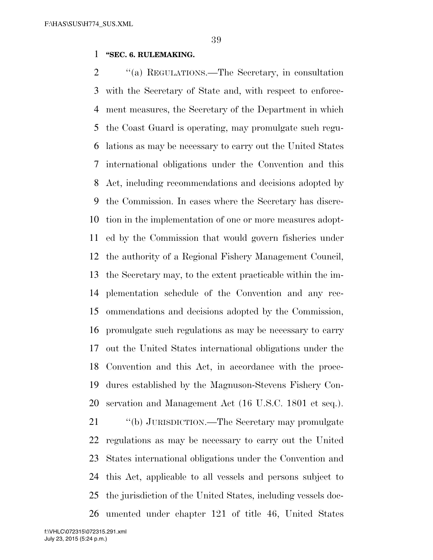#### **''SEC. 6. RULEMAKING.**

 ''(a) REGULATIONS.—The Secretary, in consultation with the Secretary of State and, with respect to enforce- ment measures, the Secretary of the Department in which the Coast Guard is operating, may promulgate such regu- lations as may be necessary to carry out the United States international obligations under the Convention and this Act, including recommendations and decisions adopted by the Commission. In cases where the Secretary has discre- tion in the implementation of one or more measures adopt- ed by the Commission that would govern fisheries under the authority of a Regional Fishery Management Council, the Secretary may, to the extent practicable within the im- plementation schedule of the Convention and any rec- ommendations and decisions adopted by the Commission, promulgate such regulations as may be necessary to carry out the United States international obligations under the Convention and this Act, in accordance with the proce- dures established by the Magnuson-Stevens Fishery Con- servation and Management Act (16 U.S.C. 1801 et seq.). ''(b) JURISDICTION.—The Secretary may promulgate regulations as may be necessary to carry out the United States international obligations under the Convention and this Act, applicable to all vessels and persons subject to the jurisdiction of the United States, including vessels doc-

umented under chapter 121 of title 46, United States

July 23, 2015 (5:24 p.m.) f:\VHLC\072315\072315.291.xml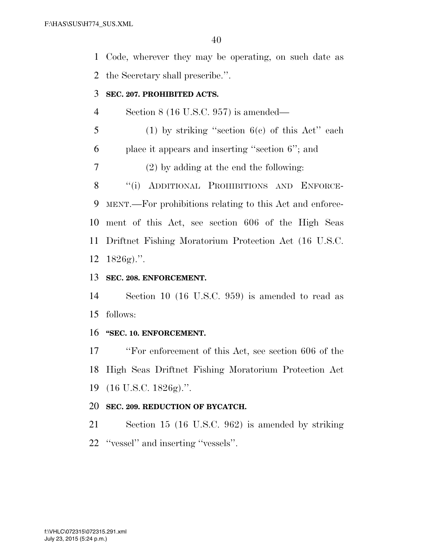Code, wherever they may be operating, on such date as the Secretary shall prescribe.''.

#### **SEC. 207. PROHIBITED ACTS.**

Section 8 (16 U.S.C. 957) is amended—

(1) by striking "section  $6(c)$  of this Act" each

place it appears and inserting ''section 6''; and

(2) by adding at the end the following:

8 "(i) ADDITIONAL PROHIBITIONS AND ENFORCE- MENT.—For prohibitions relating to this Act and enforce- ment of this Act, see section 606 of the High Seas Driftnet Fishing Moratorium Protection Act (16 U.S.C. 1826g).''.

## **SEC. 208. ENFORCEMENT.**

 Section 10 (16 U.S.C. 959) is amended to read as follows:

### **''SEC. 10. ENFORCEMENT.**

 ''For enforcement of this Act, see section 606 of the High Seas Driftnet Fishing Moratorium Protection Act (16 U.S.C. 1826g).''.

### **SEC. 209. REDUCTION OF BYCATCH.**

 Section 15 (16 U.S.C. 962) is amended by striking ''vessel'' and inserting ''vessels''.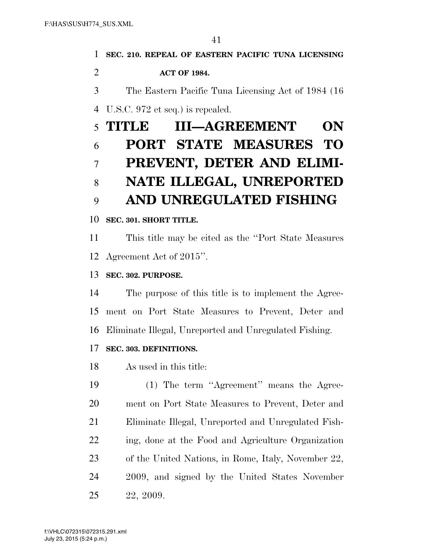| 1              | SEC. 210. REPEAL OF EASTERN PACIFIC TUNA LICENSING     |
|----------------|--------------------------------------------------------|
| $\overline{2}$ | <b>ACT OF 1984.</b>                                    |
| 3              | The Eastern Pacific Tuna Licensing Act of 1984 (16)    |
| $\overline{4}$ | U.S.C. 972 et seq.) is repealed.                       |
| 5              | <b>III-AGREEMENT</b><br>TITLE<br>ON                    |
| 6              | <b>PORT STATE MEASURES TO</b>                          |
| $\overline{7}$ | PREVENT, DETER AND ELIMI-                              |
| 8              | NATE ILLEGAL, UNREPORTED                               |
| 9              | AND UNREGULATED FISHING                                |
| 10             | SEC. 301. SHORT TITLE.                                 |
| 11             | This title may be cited as the "Port State Measures"   |
| 12             | Agreement Act of 2015".                                |
| 13             | SEC. 302. PURPOSE.                                     |
| 14             | The purpose of this title is to implement the Agree-   |
| 15             | ment on Port State Measures to Prevent, Deter and      |
| 16             | Eliminate Illegal, Unreported and Unregulated Fishing. |
| 17             | SEC. 303. DEFINITIONS.                                 |
| 18             | As used in this title:                                 |
| 19             | (1) The term "Agreement" means the Agree-              |
| 20             | ment on Port State Measures to Prevent, Deter and      |

Eliminate Illegal, Unreported and Unregulated Fish-

ing, done at the Food and Agriculture Organization

of the United Nations, in Rome, Italy, November 22,

2009, and signed by the United States November

July 23, 2015 (5:24 p.m.) f:\VHLC\072315\072315.291.xml

22, 2009.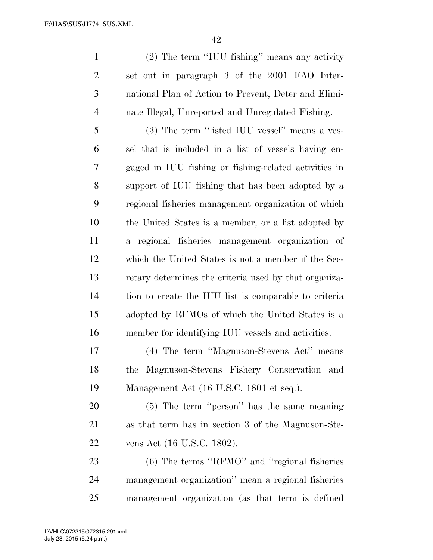(2) The term ''IUU fishing'' means any activity set out in paragraph 3 of the 2001 FAO Inter- national Plan of Action to Prevent, Deter and Elimi-nate Illegal, Unreported and Unregulated Fishing.

 (3) The term ''listed IUU vessel'' means a ves- sel that is included in a list of vessels having en- gaged in IUU fishing or fishing-related activities in support of IUU fishing that has been adopted by a regional fisheries management organization of which the United States is a member, or a list adopted by a regional fisheries management organization of which the United States is not a member if the Sec- retary determines the criteria used by that organiza- tion to create the IUU list is comparable to criteria adopted by RFMOs of which the United States is a member for identifying IUU vessels and activities.

 (4) The term ''Magnuson-Stevens Act'' means the Magnuson-Stevens Fishery Conservation and Management Act (16 U.S.C. 1801 et seq.).

 (5) The term ''person'' has the same meaning as that term has in section 3 of the Magnuson-Ste-vens Act (16 U.S.C. 1802).

 (6) The terms ''RFMO'' and ''regional fisheries management organization'' mean a regional fisheries management organization (as that term is defined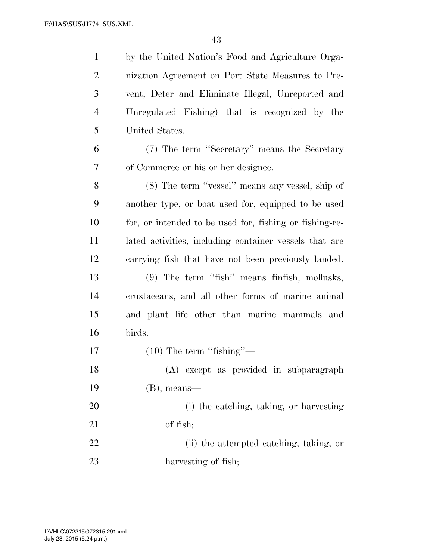by the United Nation's Food and Agriculture Orga- nization Agreement on Port State Measures to Pre- vent, Deter and Eliminate Illegal, Unreported and Unregulated Fishing) that is recognized by the United States.

 (7) The term ''Secretary'' means the Secretary of Commerce or his or her designee.

 (8) The term ''vessel'' means any vessel, ship of another type, or boat used for, equipped to be used for, or intended to be used for, fishing or fishing-re- lated activities, including container vessels that are carrying fish that have not been previously landed. (9) The term ''fish'' means finfish, mollusks, crustaceans, and all other forms of marine animal and plant life other than marine mammals and birds. 17 (10) The term "fishing"— (A) except as provided in subparagraph (B), means—

 (i) the catching, taking, or harvesting of fish;

 (ii) the attempted catching, taking, or 23 harvesting of fish;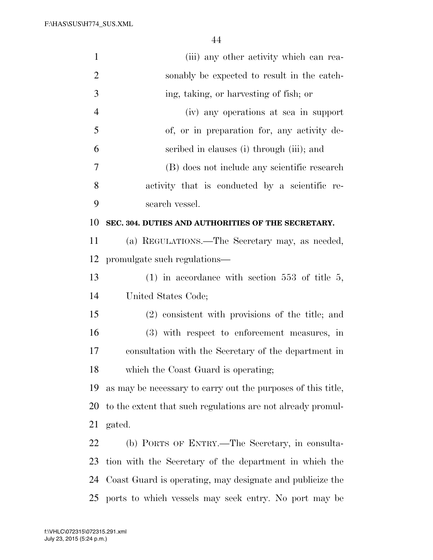F:\HAS\SUS\H774\_SUS.XML

| $\mathbf{1}$   | (iii) any other activity which can rea-                      |
|----------------|--------------------------------------------------------------|
| $\overline{2}$ | sonably be expected to result in the catch-                  |
| $\mathfrak{Z}$ | ing, taking, or harvesting of fish; or                       |
| $\overline{4}$ | (iv) any operations at sea in support                        |
| 5              | of, or in preparation for, any activity de-                  |
| 6              | scribed in clauses (i) through (iii); and                    |
| 7              | (B) does not include any scientific research                 |
| 8              | activity that is conducted by a scientific re-               |
| 9              | search vessel.                                               |
| 10             | SEC. 304. DUTIES AND AUTHORITIES OF THE SECRETARY.           |
| 11             | (a) REGULATIONS.—The Secretary may, as needed,               |
| 12             | promulgate such regulations—                                 |
| 13             | $(1)$ in accordance with section 553 of title 5,             |
| 14             | United States Code;                                          |
| 15             | (2) consistent with provisions of the title; and             |
| 16             | (3) with respect to enforcement measures, in                 |
| 17             | consultation with the Secretary of the department in         |
| 18             | which the Coast Guard is operating;                          |
| 19             | as may be necessary to carry out the purposes of this title, |
| 20             | to the extent that such regulations are not already promul-  |
| 21             | gated.                                                       |
| 22             | (b) PORTS OF ENTRY.—The Secretary, in consulta-              |
| 23             | tion with the Secretary of the department in which the       |
| 24             | Coast Guard is operating, may designate and publicize the    |
| 25             | ports to which vessels may seek entry. No port may be        |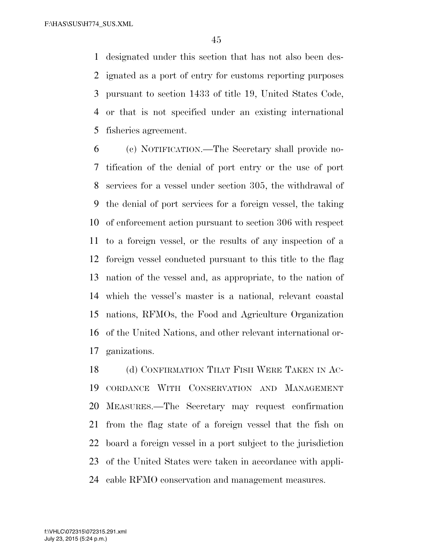designated under this section that has not also been des- ignated as a port of entry for customs reporting purposes pursuant to section 1433 of title 19, United States Code, or that is not specified under an existing international fisheries agreement.

 (c) NOTIFICATION.—The Secretary shall provide no- tification of the denial of port entry or the use of port services for a vessel under section 305, the withdrawal of the denial of port services for a foreign vessel, the taking of enforcement action pursuant to section 306 with respect to a foreign vessel, or the results of any inspection of a foreign vessel conducted pursuant to this title to the flag nation of the vessel and, as appropriate, to the nation of which the vessel's master is a national, relevant coastal nations, RFMOs, the Food and Agriculture Organization of the United Nations, and other relevant international or-ganizations.

18 (d) CONFIRMATION THAT FISH WERE TAKEN IN AC- CORDANCE WITH CONSERVATION AND MANAGEMENT MEASURES.—The Secretary may request confirmation from the flag state of a foreign vessel that the fish on board a foreign vessel in a port subject to the jurisdiction of the United States were taken in accordance with appli-cable RFMO conservation and management measures.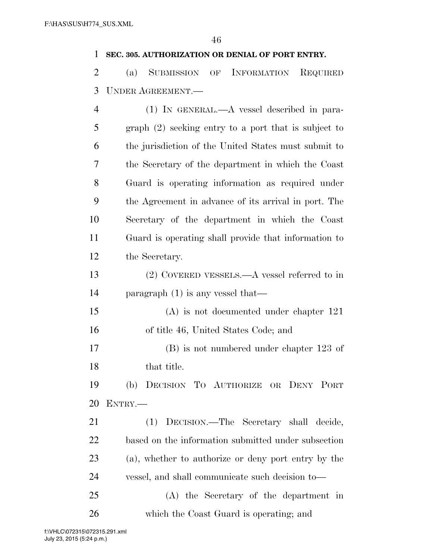## **SEC. 305. AUTHORIZATION OR DENIAL OF PORT ENTRY.**

 (a) SUBMISSION OF INFORMATION REQUIRED UNDER AGREEMENT.—

| 4  | $(1)$ IN GENERAL.—A vessel described in para-          |
|----|--------------------------------------------------------|
| 5  | $graph (2)$ seeking entry to a port that is subject to |
| 6  | the jurisdiction of the United States must submit to   |
| 7  | the Secretary of the department in which the Coast     |
| 8  | Guard is operating information as required under       |
| 9  | the Agreement in advance of its arrival in port. The   |
| 10 | Secretary of the department in which the Coast         |
| 11 | Guard is operating shall provide that information to   |
| 12 | the Secretary.                                         |
| 13 | $(2)$ COVERED VESSELS.—A vessel referred to in         |
| 14 | paragraph $(1)$ is any vessel that—                    |
| 15 | $(A)$ is not documented under chapter 121              |
| 16 | of title 46, United States Code; and                   |
| 17 | $(B)$ is not numbered under chapter 123 of             |
| 18 | that title.                                            |
| 19 | DECISION TO AUTHORIZE OR DENY PORT<br>(b)              |
| 20 | ENTRY.                                                 |
| 21 | (1) DECISION.—The Secretary shall decide,              |
| 22 | based on the information submitted under subsection    |
| 23 | (a), whether to authorize or deny port entry by the    |
| 24 | vessel, and shall communicate such decision to—        |
| 25 | (A) the Secretary of the department in                 |
| 26 | which the Coast Guard is operating; and                |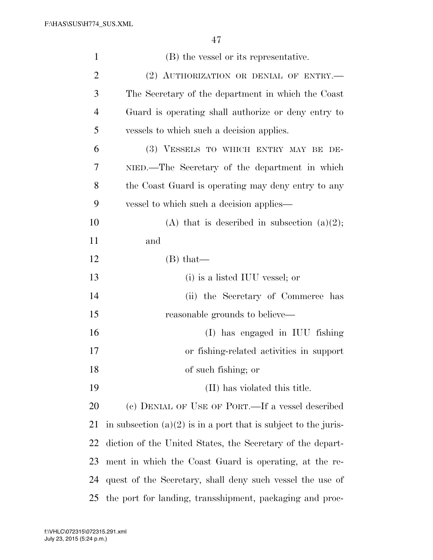| $\mathbf{1}$   | (B) the vessel or its representative.                             |
|----------------|-------------------------------------------------------------------|
| $\overline{2}$ | (2) AUTHORIZATION OR DENIAL OF ENTRY.-                            |
| 3              | The Secretary of the department in which the Coast                |
| $\overline{4}$ | Guard is operating shall authorize or deny entry to               |
| 5              | vessels to which such a decision applies.                         |
| 6              | (3) VESSELS TO WHICH ENTRY MAY BE DE-                             |
| 7              | NIED.—The Secretary of the department in which                    |
| 8              | the Coast Guard is operating may deny entry to any                |
| 9              | vessel to which such a decision applies—                          |
| 10             | (A) that is described in subsection $(a)(2)$ ;                    |
| 11             | and                                                               |
| 12             | $(B)$ that—                                                       |
| 13             | (i) is a listed IUU vessel; or                                    |
| 14             | (ii) the Secretary of Commerce has                                |
| 15             | reasonable grounds to believe—                                    |
| 16             | (I) has engaged in IUU fishing                                    |
| 17             | or fishing-related activities in support                          |
| 18             | of such fishing; or                                               |
| 19             | (II) has violated this title.                                     |
| 20             | (c) DENIAL OF USE OF PORT.—If a vessel described                  |
| 21             | in subsection $(a)(2)$ is in a port that is subject to the juris- |
| 22             | diction of the United States, the Secretary of the depart-        |
| 23             | ment in which the Coast Guard is operating, at the re-            |
| 24             | quest of the Secretary, shall deny such vessel the use of         |
| 25             | the port for landing, transshipment, packaging and proc-          |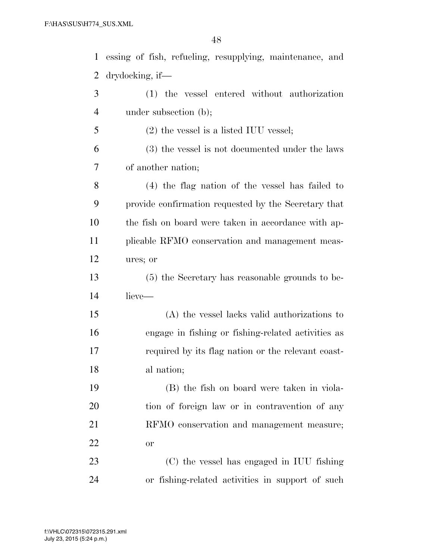essing of fish, refueling, resupplying, maintenance, and drydocking, if— (1) the vessel entered without authorization 4 under subsection (b); (2) the vessel is a listed IUU vessel;

 (3) the vessel is not documented under the laws of another nation;

 (4) the flag nation of the vessel has failed to provide confirmation requested by the Secretary that the fish on board were taken in accordance with ap- plicable RFMO conservation and management meas-ures; or

 (5) the Secretary has reasonable grounds to be-lieve—

 (A) the vessel lacks valid authorizations to engage in fishing or fishing-related activities as required by its flag nation or the relevant coast-al nation;

 (B) the fish on board were taken in viola- tion of foreign law or in contravention of any RFMO conservation and management measure; or

 (C) the vessel has engaged in IUU fishing or fishing-related activities in support of such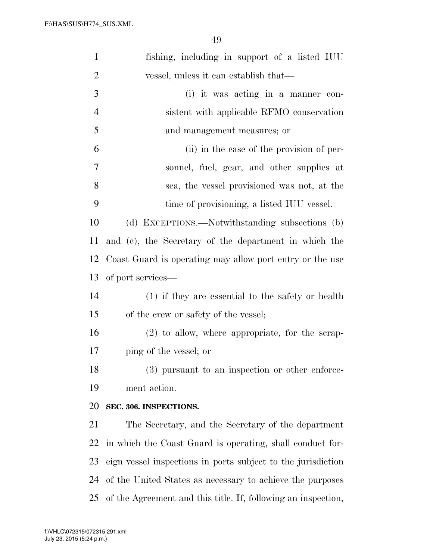| $\mathbf{1}$   | fishing, including in support of a listed IUU                 |
|----------------|---------------------------------------------------------------|
| $\overline{2}$ | vessel, unless it can establish that—                         |
| 3              | (i) it was acting in a manner con-                            |
| $\overline{4}$ | sistent with applicable RFMO conservation                     |
| 5              | and management measures; or                                   |
| 6              | (ii) in the case of the provision of per-                     |
| 7              | sonnel, fuel, gear, and other supplies at                     |
| 8              | sea, the vessel provisioned was not, at the                   |
| 9              | time of provisioning, a listed IUU vessel.                    |
| 10             | (d) EXCEPTIONS.—Notwithstanding subsections (b)               |
| 11             | and (c), the Secretary of the department in which the         |
| 12             | Coast Guard is operating may allow port entry or the use      |
| 13             | of port services—                                             |
| 14             | $(1)$ if they are essential to the safety or health           |
| 15             | of the crew or safety of the vessel;                          |
| 16             | $(2)$ to allow, where appropriate, for the scrap-             |
| 17             | ping of the vessel; or                                        |
| 18             | (3) pursuant to an inspection or other enforce-               |
| 19             | ment action.                                                  |
| 20             | SEC. 306. INSPECTIONS.                                        |
| 21             | The Secretary, and the Secretary of the department            |
| 22             | in which the Coast Guard is operating, shall conduct for-     |
| 23             | eign vessel inspections in ports subject to the jurisdiction  |
| 24             | of the United States as necessary to achieve the purposes     |
| 25             | of the Agreement and this title. If, following an inspection, |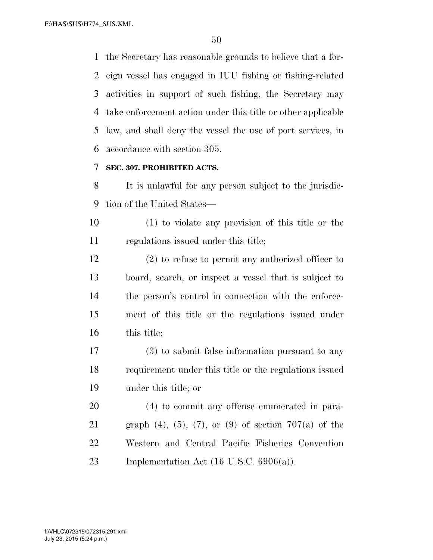the Secretary has reasonable grounds to believe that a for- eign vessel has engaged in IUU fishing or fishing-related activities in support of such fishing, the Secretary may take enforcement action under this title or other applicable law, and shall deny the vessel the use of port services, in accordance with section 305.

#### **SEC. 307. PROHIBITED ACTS.**

 It is unlawful for any person subject to the jurisdic-tion of the United States—

 (1) to violate any provision of this title or the regulations issued under this title;

 (2) to refuse to permit any authorized officer to board, search, or inspect a vessel that is subject to the person's control in connection with the enforce- ment of this title or the regulations issued under 16 this title;

 (3) to submit false information pursuant to any requirement under this title or the regulations issued under this title; or

 (4) to commit any offense enumerated in para-21 graph (4), (5), (7), or (9) of section  $707(a)$  of the Western and Central Pacific Fisheries Convention 23 Implementation Act  $(16 \text{ U.S.C. } 6906(a))$ .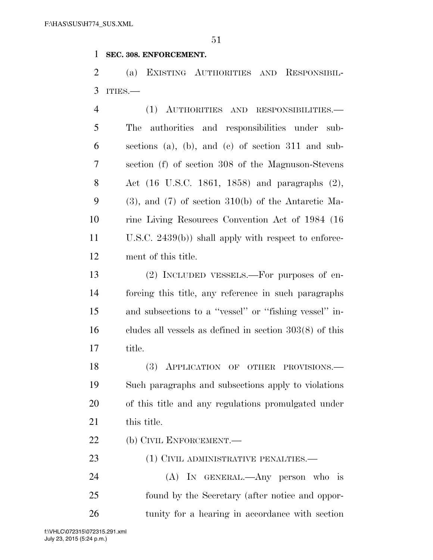#### **SEC. 308. ENFORCEMENT.**

 (a) EXISTING AUTHORITIES AND RESPONSIBIL-ITIES.—

| $\overline{4}$ | (1) AUTHORITIES AND RESPONSIBILITIES.-                     |
|----------------|------------------------------------------------------------|
| 5              | The authorities and responsibilities under sub-            |
| 6              | sections (a), (b), and (c) of section $311$ and sub-       |
| 7              | section (f) of section 308 of the Magnuson-Stevens         |
| 8              | Act (16 U.S.C. 1861, 1858) and paragraphs (2),             |
| 9              | $(3)$ , and $(7)$ of section $310(b)$ of the Antarctic Ma- |
| 10             | rine Living Resources Convention Act of 1984 (16)          |
| 11             | U.S.C. $2439(b)$ ) shall apply with respect to enforce-    |
| 12             | ment of this title.                                        |
| $1^{\circ}$    | $(\Omega)$ Lies in the second $\Omega$                     |

 (2) INCLUDED VESSELS.—For purposes of en- forcing this title, any reference in such paragraphs and subsections to a ''vessel'' or ''fishing vessel'' in- cludes all vessels as defined in section 303(8) of this title.

18 (3) APPLICATION OF OTHER PROVISIONS. Such paragraphs and subsections apply to violations of this title and any regulations promulgated under 21 this title.

22 (b) CIVIL ENFORCEMENT.

23 (1) CIVIL ADMINISTRATIVE PENALTIES.—

 (A) IN GENERAL.—Any person who is found by the Secretary (after notice and oppor-tunity for a hearing in accordance with section

July 23, 2015 (5:24 p.m.) f:\VHLC\072315\072315.291.xml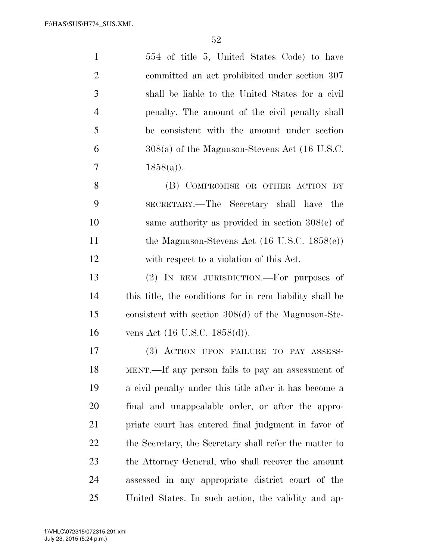554 of title 5, United States Code) to have committed an act prohibited under section 307 shall be liable to the United States for a civil penalty. The amount of the civil penalty shall be consistent with the amount under section 308(a) of the Magnuson-Stevens Act (16 U.S.C. 7  $1858(a)$ . 8 (B) COMPROMISE OR OTHER ACTION BY SECRETARY.—The Secretary shall have the

 same authority as provided in section 308(e) of 11 the Magnuson-Stevens Act (16 U.S.C. 1858(e)) with respect to a violation of this Act.

 (2) IN REM JURISDICTION.—For purposes of this title, the conditions for in rem liability shall be consistent with section 308(d) of the Magnuson-Ste-vens Act (16 U.S.C. 1858(d)).

 (3) ACTION UPON FAILURE TO PAY ASSESS- MENT.—If any person fails to pay an assessment of a civil penalty under this title after it has become a final and unappealable order, or after the appro- priate court has entered final judgment in favor of the Secretary, the Secretary shall refer the matter to the Attorney General, who shall recover the amount assessed in any appropriate district court of the United States. In such action, the validity and ap-

July 23, 2015 (5:24 p.m.) f:\VHLC\072315\072315.291.xml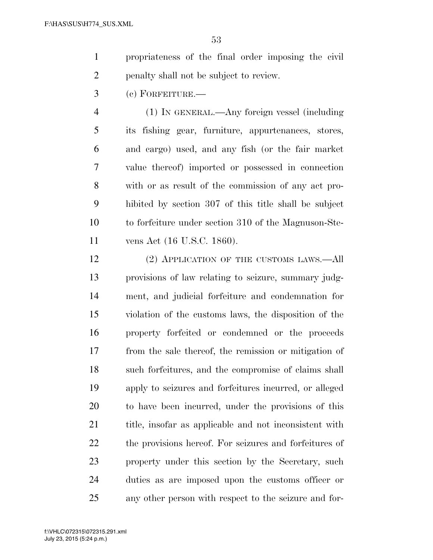- propriateness of the final order imposing the civil penalty shall not be subject to review.
- (c) FORFEITURE.—

 (1) IN GENERAL.—Any foreign vessel (including its fishing gear, furniture, appurtenances, stores, and cargo) used, and any fish (or the fair market value thereof) imported or possessed in connection with or as result of the commission of any act pro- hibited by section 307 of this title shall be subject to forfeiture under section 310 of the Magnuson-Ste-vens Act (16 U.S.C. 1860).

12 (2) APPLICATION OF THE CUSTOMS LAWS.—All provisions of law relating to seizure, summary judg- ment, and judicial forfeiture and condemnation for violation of the customs laws, the disposition of the property forfeited or condemned or the proceeds from the sale thereof, the remission or mitigation of such forfeitures, and the compromise of claims shall apply to seizures and forfeitures incurred, or alleged to have been incurred, under the provisions of this 21 title, insofar as applicable and not inconsistent with the provisions hereof. For seizures and forfeitures of property under this section by the Secretary, such duties as are imposed upon the customs officer or any other person with respect to the seizure and for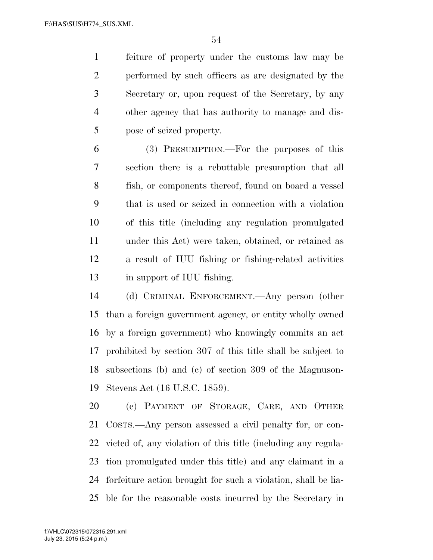feiture of property under the customs law may be performed by such officers as are designated by the Secretary or, upon request of the Secretary, by any other agency that has authority to manage and dis-pose of seized property.

 (3) PRESUMPTION.—For the purposes of this section there is a rebuttable presumption that all fish, or components thereof, found on board a vessel that is used or seized in connection with a violation of this title (including any regulation promulgated under this Act) were taken, obtained, or retained as a result of IUU fishing or fishing-related activities in support of IUU fishing.

 (d) CRIMINAL ENFORCEMENT.—Any person (other than a foreign government agency, or entity wholly owned by a foreign government) who knowingly commits an act prohibited by section 307 of this title shall be subject to subsections (b) and (c) of section 309 of the Magnuson-Stevens Act (16 U.S.C. 1859).

 (e) PAYMENT OF STORAGE, CARE, AND OTHER COSTS.—Any person assessed a civil penalty for, or con- victed of, any violation of this title (including any regula- tion promulgated under this title) and any claimant in a forfeiture action brought for such a violation, shall be lia-ble for the reasonable costs incurred by the Secretary in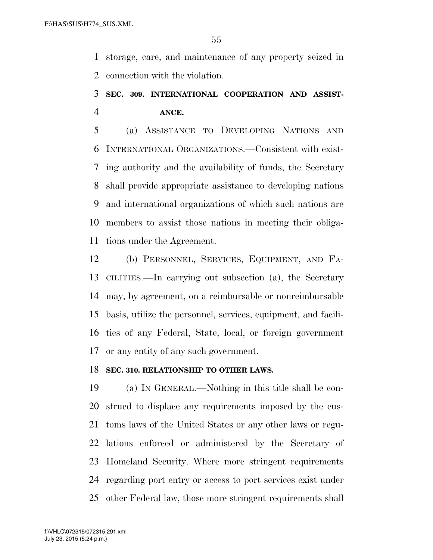storage, care, and maintenance of any property seized in connection with the violation.

## **SEC. 309. INTERNATIONAL COOPERATION AND ASSIST-ANCE.**

 (a) ASSISTANCE TO DEVELOPING NATIONS AND INTERNATIONAL ORGANIZATIONS.—Consistent with exist- ing authority and the availability of funds, the Secretary shall provide appropriate assistance to developing nations and international organizations of which such nations are members to assist those nations in meeting their obliga-tions under the Agreement.

 (b) PERSONNEL, SERVICES, EQUIPMENT, AND FA- CILITIES.—In carrying out subsection (a), the Secretary may, by agreement, on a reimbursable or nonreimbursable basis, utilize the personnel, services, equipment, and facili- ties of any Federal, State, local, or foreign government or any entity of any such government.

#### **SEC. 310. RELATIONSHIP TO OTHER LAWS.**

 (a) IN GENERAL.—Nothing in this title shall be con- strued to displace any requirements imposed by the cus- toms laws of the United States or any other laws or regu- lations enforced or administered by the Secretary of Homeland Security. Where more stringent requirements regarding port entry or access to port services exist under other Federal law, those more stringent requirements shall